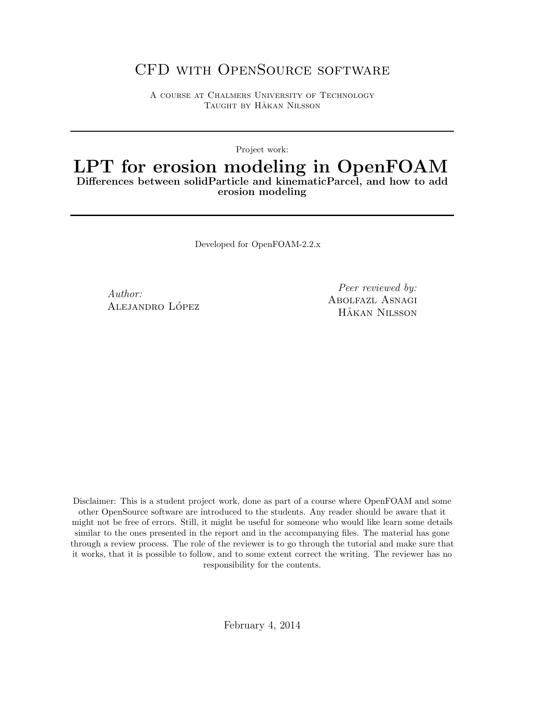## CFD with OpenSource software

A course at Chalmers University of Technology TAUGHT BY HÅKAN NILSSON

Project work:

## LPT for erosion modeling in OpenFOAM Differences between solidParticle and kinematicParcel, and how to add erosion modeling

Developed for OpenFOAM-2.2.x

Author: ALEJANDRO LÓPEZ

Peer reviewed by: Abolfazl Asnagi HÅKAN NILSSON

Disclaimer: This is a student project work, done as part of a course where OpenFOAM and some other OpenSource software are introduced to the students. Any reader should be aware that it might not be free of errors. Still, it might be useful for someone who would like learn some details similar to the ones presented in the report and in the accompanying files. The material has gone through a review process. The role of the reviewer is to go through the tutorial and make sure that it works, that it is possible to follow, and to some extent correct the writing. The reviewer has no responsibility for the contents.

February 4, 2014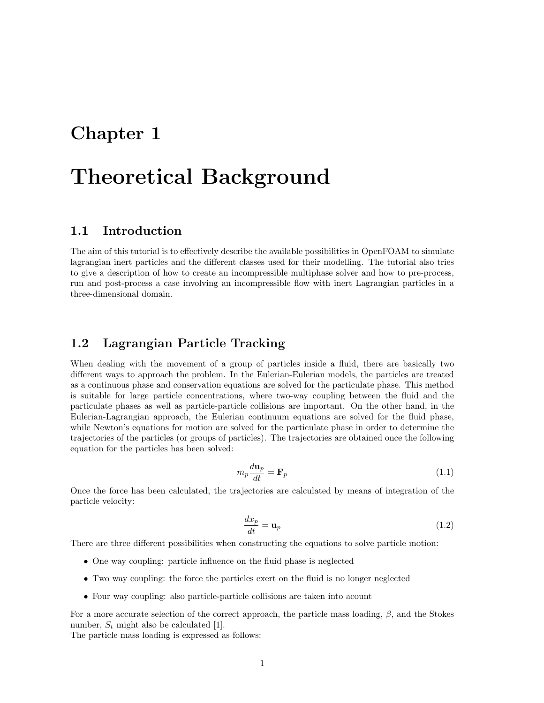## Chapter 1

# Theoretical Background

## 1.1 Introduction

The aim of this tutorial is to effectively describe the available possibilities in OpenFOAM to simulate lagrangian inert particles and the different classes used for their modelling. The tutorial also tries to give a description of how to create an incompressible multiphase solver and how to pre-process, run and post-process a case involving an incompressible flow with inert Lagrangian particles in a three-dimensional domain.

## 1.2 Lagrangian Particle Tracking

When dealing with the movement of a group of particles inside a fluid, there are basically two different ways to approach the problem. In the Eulerian-Eulerian models, the particles are treated as a continuous phase and conservation equations are solved for the particulate phase. This method is suitable for large particle concentrations, where two-way coupling between the fluid and the particulate phases as well as particle-particle collisions are important. On the other hand, in the Eulerian-Lagrangian approach, the Eulerian continuum equations are solved for the fluid phase, while Newton's equations for motion are solved for the particulate phase in order to determine the trajectories of the particles (or groups of particles). The trajectories are obtained once the following equation for the particles has been solved:

$$
m_p \frac{d\mathbf{u}_p}{dt} = \mathbf{F}_p \tag{1.1}
$$

Once the force has been calculated, the trajectories are calculated by means of integration of the particle velocity:

$$
\frac{dx_p}{dt} = \mathbf{u}_p \tag{1.2}
$$

There are three different possibilities when constructing the equations to solve particle motion:

- One way coupling: particle influence on the fluid phase is neglected
- Two way coupling: the force the particles exert on the fluid is no longer neglected
- Four way coupling: also particle-particle collisions are taken into acount

For a more accurate selection of the correct approach, the particle mass loading,  $\beta$ , and the Stokes number,  $S_t$  might also be calculated [1].

The particle mass loading is expressed as follows: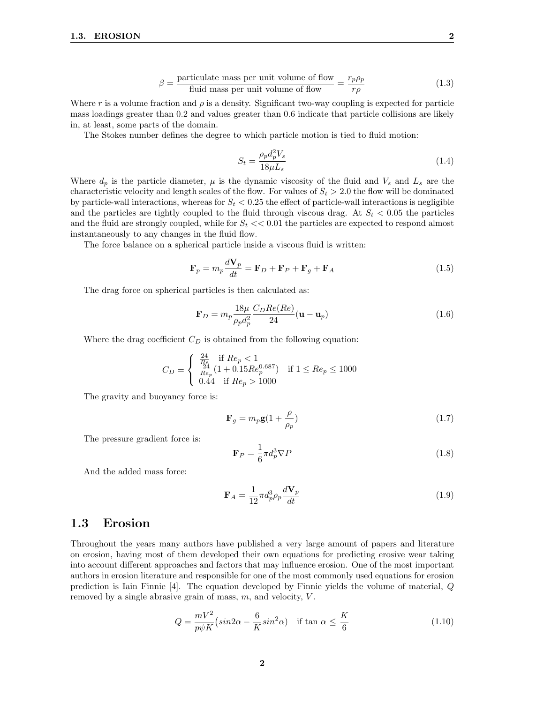$$
\beta = \frac{\text{particle mass per unit volume of flow}}{\text{fluid mass per unit volume of flow}} = \frac{r_p \rho_p}{r\rho} \tag{1.3}
$$

Where r is a volume fraction and  $\rho$  is a density. Significant two-way coupling is expected for particle mass loadings greater than 0.2 and values greater than 0.6 indicate that particle collisions are likely in, at least, some parts of the domain.

The Stokes number defines the degree to which particle motion is tied to fluid motion:

$$
S_t = \frac{\rho_p d_p^2 V_s}{18\mu L_s} \tag{1.4}
$$

Where  $d_p$  is the particle diameter,  $\mu$  is the dynamic viscosity of the fluid and  $V_s$  and  $L_s$  are the characteristic velocity and length scales of the flow. For values of  $S_t > 2.0$  the flow will be dominated by particle-wall interactions, whereas for  $S_t < 0.25$  the effect of particle-wall interactions is negligible and the particles are tightly coupled to the fluid through viscous drag. At  $S_t < 0.05$  the particles and the fluid are strongly coupled, while for  $S_t \ll 0.01$  the particles are expected to respond almost instantaneously to any changes in the fluid flow.

The force balance on a spherical particle inside a viscous fluid is written:

$$
\mathbf{F}_p = m_p \frac{d\mathbf{V}_p}{dt} = \mathbf{F}_D + \mathbf{F}_P + \mathbf{F}_g + \mathbf{F}_A
$$
\n(1.5)

The drag force on spherical particles is then calculated as:

$$
\mathbf{F}_D = m_p \frac{18\mu}{\rho_p d_p^2} \frac{C_D Re(Re)}{24} (\mathbf{u} - \mathbf{u}_p)
$$
(1.6)

Where the drag coefficient  $C_D$  is obtained from the following equation:

$$
C_D = \begin{cases} \frac{\frac{24}{R_e}}{\frac{24}{R e_p}} (1 + 0.15Re_p^{0.687}) & \text{if } 1 \leq Re_p \leq 1000\\ 0.44 & \text{if } Re_p > 1000 \end{cases}
$$

The gravity and buoyancy force is:

$$
\mathbf{F}_g = m_p \mathbf{g} (1 + \frac{\rho}{\rho_p}) \tag{1.7}
$$

The pressure gradient force is:

$$
\mathbf{F}_P = \frac{1}{6}\pi d_p^3 \nabla P \tag{1.8}
$$

And the added mass force:

$$
\mathbf{F}_A = \frac{1}{12} \pi d_p^3 \rho_p \frac{d\mathbf{V}_p}{dt} \tag{1.9}
$$

### 1.3 Erosion

Throughout the years many authors have published a very large amount of papers and literature on erosion, having most of them developed their own equations for predicting erosive wear taking into account different approaches and factors that may influence erosion. One of the most important authors in erosion literature and responsible for one of the most commonly used equations for erosion prediction is Iain Finnie [4]. The equation developed by Finnie yields the volume of material, Q removed by a single abrasive grain of mass,  $m$ , and velocity,  $V$ .

$$
Q = \frac{mV^2}{p\psi K} \left(\sin 2\alpha - \frac{6}{K} \sin^2 \alpha\right) \quad \text{if } \tan \alpha \le \frac{K}{6} \tag{1.10}
$$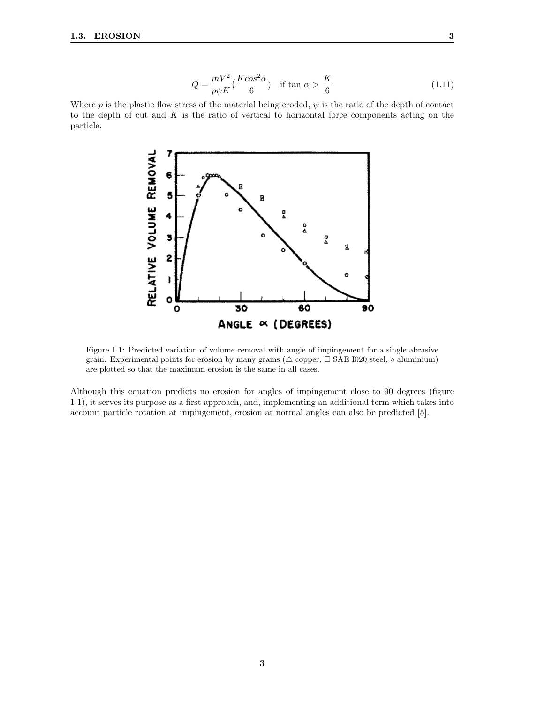$$
Q = \frac{mV^2}{p\psi K} \left(\frac{K\cos^2\alpha}{6}\right) \quad \text{if } \tan\alpha > \frac{K}{6}
$$
 (1.11)

Where p is the plastic flow stress of the material being eroded,  $\psi$  is the ratio of the depth of contact to the depth of cut and  $K$  is the ratio of vertical to horizontal force components acting on the particle.



Figure 1.1: Predicted variation of volume removal with angle of impingement for a single abrasive grain. Experimental points for erosion by many grains ( $\triangle$  copper,  $\Box$  SAE I020 steel,  $\circ$  aluminium) are plotted so that the maximum erosion is the same in all cases.

Although this equation predicts no erosion for angles of impingement close to 90 degrees (figure 1.1), it serves its purpose as a first approach, and, implementing an additional term which takes into account particle rotation at impingement, erosion at normal angles can also be predicted [5].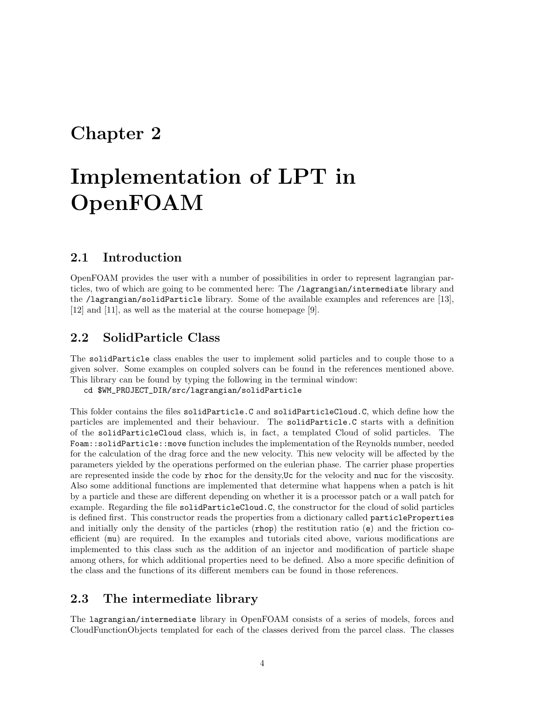## Chapter 2

# Implementation of LPT in OpenFOAM

## 2.1 Introduction

OpenFOAM provides the user with a number of possibilities in order to represent lagrangian particles, two of which are going to be commented here: The /lagrangian/intermediate library and the /lagrangian/solidParticle library. Some of the available examples and references are [13], [12] and [11], as well as the material at the course homepage [9].

## 2.2 SolidParticle Class

The solidParticle class enables the user to implement solid particles and to couple those to a given solver. Some examples on coupled solvers can be found in the references mentioned above. This library can be found by typing the following in the terminal window:

cd \$WM\_PROJECT\_DIR/src/lagrangian/solidParticle

This folder contains the files solidParticle.C and solidParticleCloud.C, which define how the particles are implemented and their behaviour. The solidParticle.C starts with a definition of the solidParticleCloud class, which is, in fact, a templated Cloud of solid particles. The Foam::solidParticle::move function includes the implementation of the Reynolds number, needed for the calculation of the drag force and the new velocity. This new velocity will be affected by the parameters yielded by the operations performed on the eulerian phase. The carrier phase properties are represented inside the code by rhoc for the density,Uc for the velocity and nuc for the viscosity. Also some additional functions are implemented that determine what happens when a patch is hit by a particle and these are different depending on whether it is a processor patch or a wall patch for example. Regarding the file solidParticleCloud.C, the constructor for the cloud of solid particles is defined first. This constructor reads the properties from a dictionary called particleProperties and initially only the density of the particles (rhop) the restitution ratio (e) and the friction coefficient (mu) are required. In the examples and tutorials cited above, various modifications are implemented to this class such as the addition of an injector and modification of particle shape among others, for which additional properties need to be defined. Also a more specific definition of the class and the functions of its different members can be found in those references.

## 2.3 The intermediate library

The lagrangian/intermediate library in OpenFOAM consists of a series of models, forces and CloudFunctionObjects templated for each of the classes derived from the parcel class. The classes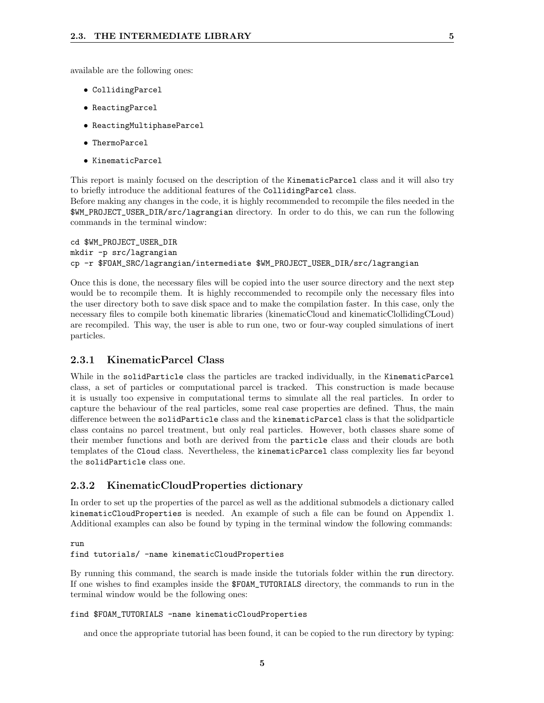available are the following ones:

- CollidingParcel
- ReactingParcel
- ReactingMultiphaseParcel
- ThermoParcel
- KinematicParcel

This report is mainly focused on the description of the KinematicParcel class and it will also try to briefly introduce the additional features of the CollidingParcel class.

Before making any changes in the code, it is highly recommended to recompile the files needed in the \$WM\_PROJECT\_USER\_DIR/src/lagrangian directory. In order to do this, we can run the following commands in the terminal window:

```
cd $WM_PROJECT_USER_DIR
mkdir -p src/lagrangian
cp -r $FOAM_SRC/lagrangian/intermediate $WM_PROJECT_USER_DIR/src/lagrangian
```
Once this is done, the necessary files will be copied into the user source directory and the next step would be to recompile them. It is highly reccommended to recompile only the necessary files into the user directory both to save disk space and to make the compilation faster. In this case, only the necessary files to compile both kinematic libraries (kinematicCloud and kinematicClollidingCLoud) are recompiled. This way, the user is able to run one, two or four-way coupled simulations of inert particles.

#### 2.3.1 KinematicParcel Class

While in the solidParticle class the particles are tracked individually, in the KinematicParcel class, a set of particles or computational parcel is tracked. This construction is made because it is usually too expensive in computational terms to simulate all the real particles. In order to capture the behaviour of the real particles, some real case properties are defined. Thus, the main difference between the solidParticle class and the kinematicParcel class is that the solidparticle class contains no parcel treatment, but only real particles. However, both classes share some of their member functions and both are derived from the particle class and their clouds are both templates of the Cloud class. Nevertheless, the kinematicParcel class complexity lies far beyond the solidParticle class one.

#### 2.3.2 KinematicCloudProperties dictionary

In order to set up the properties of the parcel as well as the additional submodels a dictionary called kinematicCloudProperties is needed. An example of such a file can be found on Appendix 1. Additional examples can also be found by typing in the terminal window the following commands:

#### run

#### find tutorials/ -name kinematicCloudProperties

By running this command, the search is made inside the tutorials folder within the run directory. If one wishes to find examples inside the \$FOAM\_TUTORIALS directory, the commands to run in the terminal window would be the following ones:

#### find \$FOAM\_TUTORIALS -name kinematicCloudProperties

and once the appropriate tutorial has been found, it can be copied to the run directory by typing: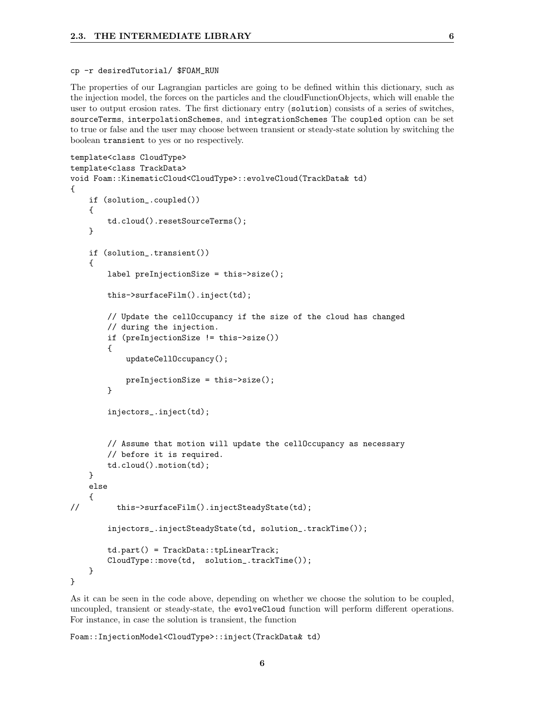#### cp -r desiredTutorial/ \$FOAM\_RUN

The properties of our Lagrangian particles are going to be defined within this dictionary, such as the injection model, the forces on the particles and the cloudFunctionObjects, which will enable the user to output erosion rates. The first dictionary entry (solution) consists of a series of switches, sourceTerms, interpolationSchemes, and integrationSchemes The coupled option can be set to true or false and the user may choose between transient or steady-state solution by switching the boolean transient to yes or no respectively.

```
template<class CloudType>
template<class TrackData>
void Foam::KinematicCloud<CloudType>::evolveCloud(TrackData& td)
{
   if (solution_.coupled())
   {
        td.cloud().resetSourceTerms();
    }
    if (solution_.transient())
    {
        label preInjectionSize = this->size();
        this->surfaceFilm().inject(td);
        // Update the cellOccupancy if the size of the cloud has changed
        // during the injection.
        if (preInjectionSize != this->size())
        {
           updateCellOccupancy();
            preInjectionSize = this->size();
        }
        injectors_.inject(td);
        // Assume that motion will update the cellOccupancy as necessary
        // before it is required.
        td.cloud().motion(td);
   }
   else
    {
// this->surfaceFilm().injectSteadyState(td);
        injectors_.injectSteadyState(td, solution_.trackTime());
        td.part() = TrackData::tpLinearTrack;
        CloudType::move(td, solution_.trackTime());
   }
}
```
As it can be seen in the code above, depending on whether we choose the solution to be coupled, uncoupled, transient or steady-state, the evolveCloud function will perform different operations. For instance, in case the solution is transient, the function

6

Foam::InjectionModel<CloudType>::inject(TrackData& td)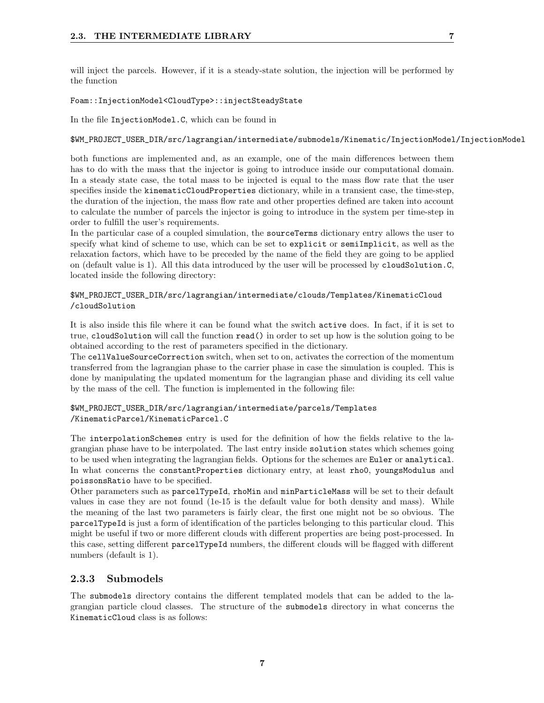will inject the parcels. However, if it is a steady-state solution, the injection will be performed by the function

#### Foam::InjectionModel<CloudType>::injectSteadyState

In the file InjectionModel.C, which can be found in

#### \$WM\_PROJECT\_USER\_DIR/src/lagrangian/intermediate/submodels/Kinematic/InjectionModel/InjectionModel

both functions are implemented and, as an example, one of the main differences between them has to do with the mass that the injector is going to introduce inside our computational domain. In a steady state case, the total mass to be injected is equal to the mass flow rate that the user specifies inside the kinematicCloudProperties dictionary, while in a transient case, the time-step, the duration of the injection, the mass flow rate and other properties defined are taken into account to calculate the number of parcels the injector is going to introduce in the system per time-step in order to fulfill the user's requirements.

In the particular case of a coupled simulation, the sourceTerms dictionary entry allows the user to specify what kind of scheme to use, which can be set to explicit or semiImplicit, as well as the relaxation factors, which have to be preceded by the name of the field they are going to be applied on (default value is 1). All this data introduced by the user will be processed by cloudSolution.C, located inside the following directory:

#### \$WM\_PROJECT\_USER\_DIR/src/lagrangian/intermediate/clouds/Templates/KinematicCloud /cloudSolution

It is also inside this file where it can be found what the switch active does. In fact, if it is set to true, cloudSolution will call the function read() in order to set up how is the solution going to be obtained according to the rest of parameters specified in the dictionary.

The cellValueSourceCorrection switch, when set to on, activates the correction of the momentum transferred from the lagrangian phase to the carrier phase in case the simulation is coupled. This is done by manipulating the updated momentum for the lagrangian phase and dividing its cell value by the mass of the cell. The function is implemented in the following file:

\$WM\_PROJECT\_USER\_DIR/src/lagrangian/intermediate/parcels/Templates /KinematicParcel/KinematicParcel.C

The interpolationSchemes entry is used for the definition of how the fields relative to the lagrangian phase have to be interpolated. The last entry inside solution states which schemes going to be used when integrating the lagrangian fields. Options for the schemes are Euler or analytical. In what concerns the constantProperties dictionary entry, at least rho0, youngsModulus and poissonsRatio have to be specified.

Other parameters such as parcelTypeId, rhoMin and minParticleMass will be set to their default values in case they are not found (1e-15 is the default value for both density and mass). While the meaning of the last two parameters is fairly clear, the first one might not be so obvious. The parcelTypeId is just a form of identification of the particles belonging to this particular cloud. This might be useful if two or more different clouds with different properties are being post-processed. In this case, setting different parcelTypeId numbers, the different clouds will be flagged with different numbers (default is 1).

#### 2.3.3 Submodels

The submodels directory contains the different templated models that can be added to the lagrangian particle cloud classes. The structure of the submodels directory in what concerns the KinematicCloud class is as follows: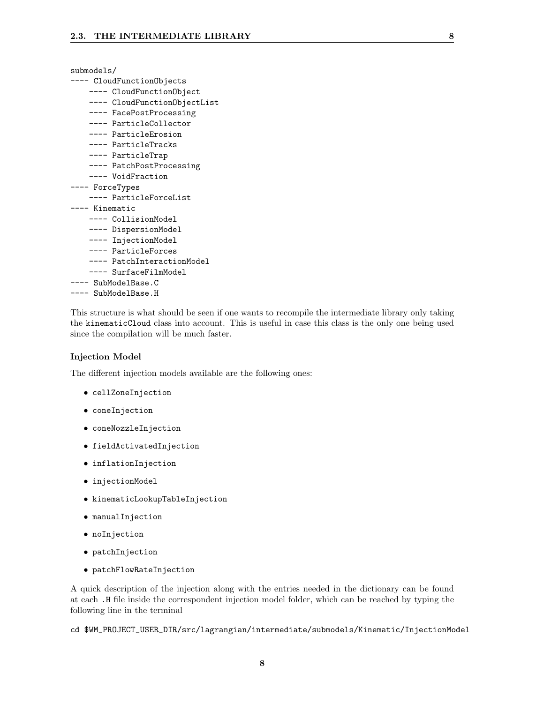| submodels/                   |  |  |  |
|------------------------------|--|--|--|
| --- CloudFunctionObjects     |  |  |  |
| ---- CloudFunctionObject     |  |  |  |
| ---- CloudFunctionObjectList |  |  |  |
| ---- FacePostProcessing      |  |  |  |
| ---- ParticleCollector       |  |  |  |
| ---- ParticleErosion         |  |  |  |
| ---- ParticleTracks          |  |  |  |
| ---- ParticleTrap            |  |  |  |
| ---- PatchPostProcessing     |  |  |  |
| ---- VoidFraction            |  |  |  |
| --- ForceTypes               |  |  |  |
| ---- ParticleForceList       |  |  |  |
| --- Kinematic                |  |  |  |
| ---- CollisionModel          |  |  |  |
| ---- DispersionModel         |  |  |  |
| ---- InjectionModel          |  |  |  |
| ---- ParticleForces          |  |  |  |
| ---- PatchInteractionModel   |  |  |  |
| ---- SurfaceFilmModel        |  |  |  |
| ---- SubModelBase.C          |  |  |  |
| --- SubModelBase.H           |  |  |  |

This structure is what should be seen if one wants to recompile the intermediate library only taking the kinematicCloud class into account. This is useful in case this class is the only one being used since the compilation will be much faster.

#### Injection Model

The different injection models available are the following ones:

- cellZoneInjection
- coneInjection
- coneNozzleInjection
- fieldActivatedInjection
- inflationInjection
- injectionModel
- kinematicLookupTableInjection
- manualInjection
- noInjection
- patchInjection
- patchFlowRateInjection

A quick description of the injection along with the entries needed in the dictionary can be found at each .H file inside the correspondent injection model folder, which can be reached by typing the following line in the terminal

cd \$WM\_PROJECT\_USER\_DIR/src/lagrangian/intermediate/submodels/Kinematic/InjectionModel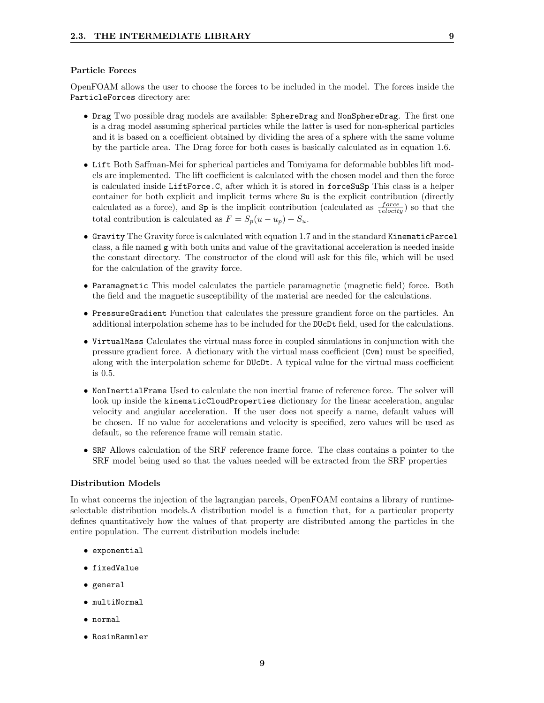#### Particle Forces

OpenFOAM allows the user to choose the forces to be included in the model. The forces inside the ParticleForces directory are:

- Drag Two possible drag models are available: SphereDrag and NonSphereDrag. The first one is a drag model assuming spherical particles while the latter is used for non-spherical particles and it is based on a coefficient obtained by dividing the area of a sphere with the same volume by the particle area. The Drag force for both cases is basically calculated as in equation 1.6.
- Lift Both Saffman-Mei for spherical particles and Tomiyama for deformable bubbles lift models are implemented. The lift coefficient is calculated with the chosen model and then the force is calculated inside LiftForce.C, after which it is stored in forceSuSp This class is a helper container for both explicit and implicit terms where Su is the explicit contribution (directly calculated as a force), and  $Sp$  is the implicit contribution (calculated as  $\frac{force}{velocity}$ ) so that the total contribution is calculated as  $F = S_p(u - u_p) + S_u$ .
- Gravity The Gravity force is calculated with equation 1.7 and in the standard KinematicParcel class, a file named g with both units and value of the gravitational acceleration is needed inside the constant directory. The constructor of the cloud will ask for this file, which will be used for the calculation of the gravity force.
- Paramagnetic This model calculates the particle paramagnetic (magnetic field) force. Both the field and the magnetic susceptibility of the material are needed for the calculations.
- PressureGradient Function that calculates the pressure grandient force on the particles. An additional interpolation scheme has to be included for the DUcDt field, used for the calculations.
- VirtualMass Calculates the virtual mass force in coupled simulations in conjunction with the pressure gradient force. A dictionary with the virtual mass coefficient (Cvm) must be specified, along with the interpolation scheme for DUcDt. A typical value for the virtual mass coefficient is 0.5.
- NonInertialFrame Used to calculate the non inertial frame of reference force. The solver will look up inside the kinematicCloudProperties dictionary for the linear acceleration, angular velocity and angiular acceleration. If the user does not specify a name, default values will be chosen. If no value for accelerations and velocity is specified, zero values will be used as default, so the reference frame will remain static.
- SRF Allows calculation of the SRF reference frame force. The class contains a pointer to the SRF model being used so that the values needed will be extracted from the SRF properties

#### Distribution Models

In what concerns the injection of the lagrangian parcels, OpenFOAM contains a library of runtimeselectable distribution models.A distribution model is a function that, for a particular property defines quantitatively how the values of that property are distributed among the particles in the entire population. The current distribution models include:

- exponential
- fixedValue
- general
- multiNormal
- normal
- RosinRammler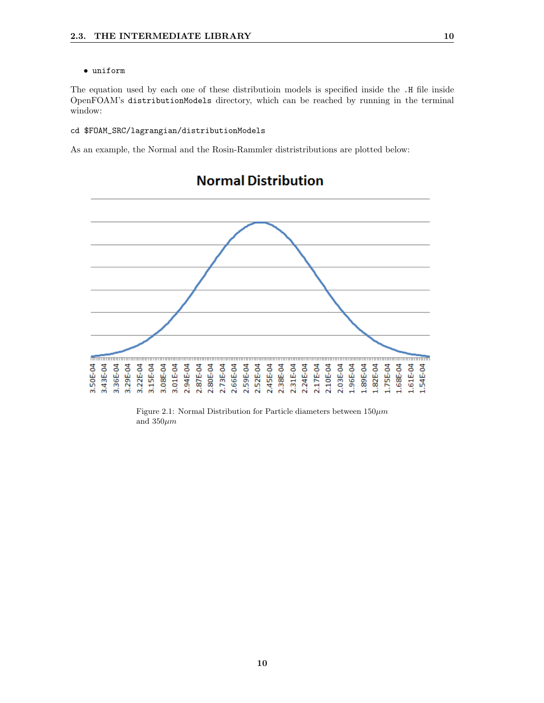#### • uniform

The equation used by each one of these distributioin models is specified inside the .H file inside OpenFOAM's distributionModels directory, which can be reached by running in the terminal window:

#### cd \$FOAM\_SRC/lagrangian/distributionModels

As an example, the Normal and the Rosin-Rammler distristributions are plotted below:



## **Normal Distribution**

Figure 2.1: Normal Distribution for Particle diameters between  $150 \mu m$ and  $350 \mu m$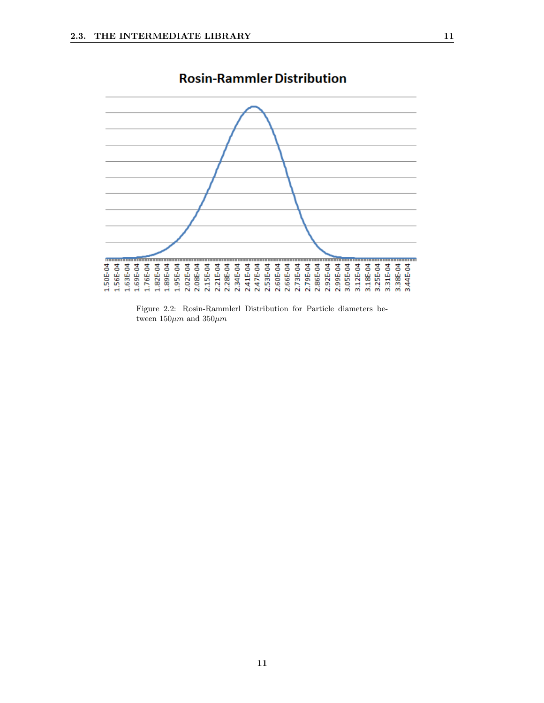

## **Rosin-Rammler Distribution**

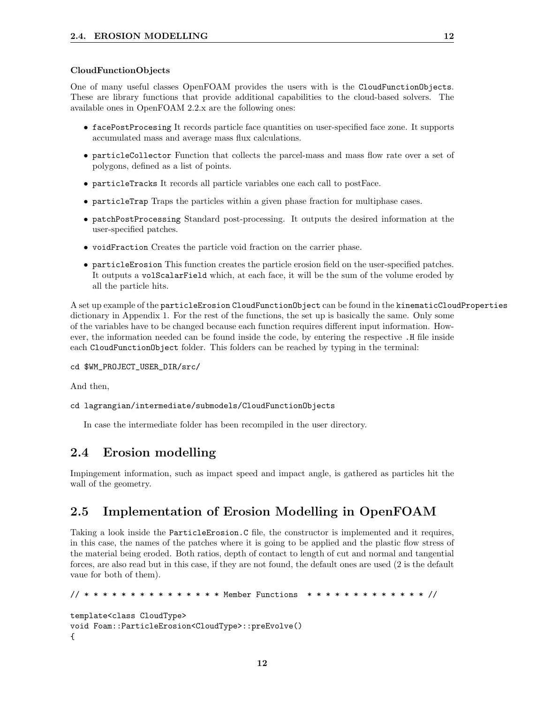#### CloudFunctionObjects

One of many useful classes OpenFOAM provides the users with is the CloudFunctionObjects. These are library functions that provide additional capabilities to the cloud-based solvers. The available ones in OpenFOAM 2.2.x are the following ones:

- facePostProcesing It records particle face quantities on user-specified face zone. It supports accumulated mass and average mass flux calculations.
- particleCollector Function that collects the parcel-mass and mass flow rate over a set of polygons, defined as a list of points.
- particleTracks It records all particle variables one each call to postFace.
- particleTrap Traps the particles within a given phase fraction for multiphase cases.
- patchPostProcessing Standard post-processing. It outputs the desired information at the user-specified patches.
- voidFraction Creates the particle void fraction on the carrier phase.
- particleErosion This function creates the particle erosion field on the user-specified patches. It outputs a volScalarField which, at each face, it will be the sum of the volume eroded by all the particle hits.

A set up example of the particleErosion CloudFunctionObject can be found in the kinematicCloudProperties dictionary in Appendix 1. For the rest of the functions, the set up is basically the same. Only some of the variables have to be changed because each function requires different input information. However, the information needed can be found inside the code, by entering the respective .H file inside each CloudFunctionObject folder. This folders can be reached by typing in the terminal:

```
cd $WM_PROJECT_USER_DIR/src/
```
And then,

```
cd lagrangian/intermediate/submodels/CloudFunctionObjects
```
In case the intermediate folder has been recompiled in the user directory.

## 2.4 Erosion modelling

Impingement information, such as impact speed and impact angle, is gathered as particles hit the wall of the geometry.

## 2.5 Implementation of Erosion Modelling in OpenFOAM

Taking a look inside the ParticleErosion.C file, the constructor is implemented and it requires, in this case, the names of the patches where it is going to be applied and the plastic flow stress of the material being eroded. Both ratios, depth of contact to length of cut and normal and tangential forces, are also read but in this case, if they are not found, the default ones are used (2 is the default vaue for both of them).

```
// * * * * * * * * * * * * * * * Member Functions * * * * * * * * * * * * * //
template<class CloudType>
void Foam::ParticleErosion<CloudType>::preEvolve()
{
```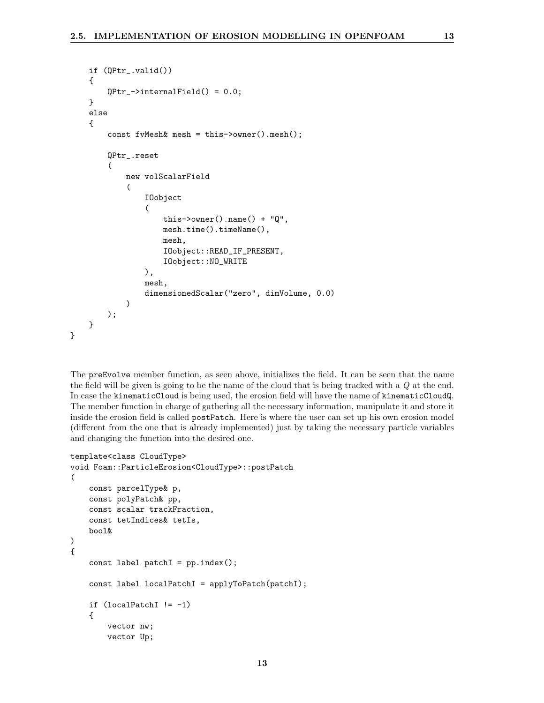```
if (QPtr_.valid())
    {
        QPtr_->internalField() = 0.0;
    }
    else
    {
        const fvMesh& mesh = this->owner().mesh();
        QPtr_.reset
        (
            new volScalarField
             (
                IOobject
                 (
                     this->owner().name() + "Q",
                     mesh.time().timeName(),
                     mesh,
                     IOobject::READ_IF_PRESENT,
                     IOobject::NO_WRITE
                ),
                mesh,
                dimensionedScalar("zero", dimVolume, 0.0)
            )
        );
    }
}
```
The preEvolve member function, as seen above, initializes the field. It can be seen that the name the field will be given is going to be the name of the cloud that is being tracked with a Q at the end. In case the kinematicCloud is being used, the erosion field will have the name of kinematicCloudQ. The member function in charge of gathering all the necessary information, manipulate it and store it inside the erosion field is called postPatch. Here is where the user can set up his own erosion model (different from the one that is already implemented) just by taking the necessary particle variables and changing the function into the desired one.

```
template<class CloudType>
void Foam::ParticleErosion<CloudType>::postPatch
(
    const parcelType& p,
    const polyPatch& pp,
    const scalar trackFraction,
    const tetIndices& tetIs,
    bool&
)
{
    const label patchI = pp.index();
    const label localPatchI = applyToPatch(patchI);
    if (localPatchI != -1){
        vector nw;
        vector Up;
```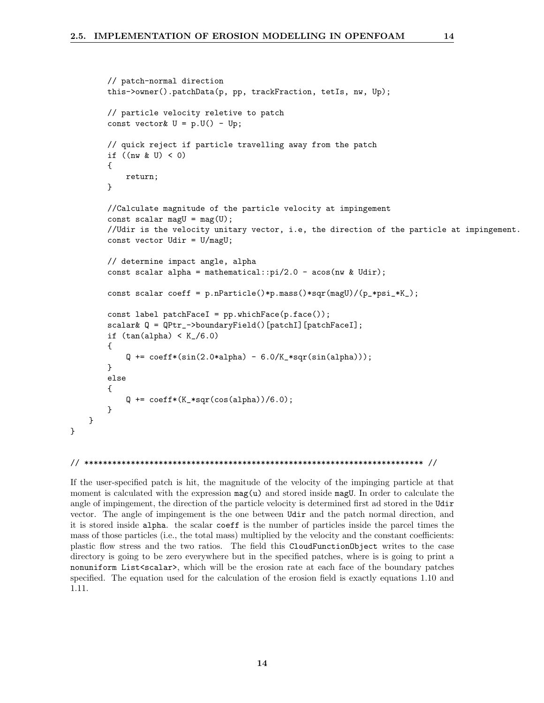```
// patch-normal direction
    this->owner().patchData(p, pp, trackFraction, tetIs, nw, Up);
    // particle velocity reletive to patch
    const vector U = p.U() - Up;// quick reject if particle travelling away from the patch
    if ((nw & U) < 0){
        return;
    }
    //Calculate magnitude of the particle velocity at impingement
    const scalar magU = mag(U);
    //Udir is the velocity unitary vector, i.e, the direction of the particle at impingement.
    const vector Udir = U/magU;
    // determine impact angle, alpha
    const scalar alpha = mathematical::pi/2.0 - acos(nw & Udir);
    const scalar coeff = p.nParticle()*p.mass()*sqr(magU)/(p_*psi_*K_);
    const label patchFaceI = pp.whichFace(p.face());
    scalar& Q = QPtr_->boundaryField() [patchI] [patchFaceI];if (tan(alpha) < K_{1}/6.0){
        Q \leftarrow \text{coeff*(sin(2.0*alpha) - 6.0/K_*sqrt(sin(alpha)))};
    }
    else
    {
        Q \leftarrow \text{coeff*(K_*sgr(\cos(\alpha)1) / 6.0);}}
}
```

```
// ************************************************************************* //
```
}

If the user-specified patch is hit, the magnitude of the velocity of the impinging particle at that moment is calculated with the expression  $\text{mag}(u)$  and stored inside magU. In order to calculate the angle of impingement, the direction of the particle velocity is determined first ad stored in the Udir vector. The angle of impingement is the one between Udir and the patch normal direction, and it is stored inside alpha. the scalar coeff is the number of particles inside the parcel times the mass of those particles (i.e., the total mass) multiplied by the velocity and the constant coefficients: plastic flow stress and the two ratios. The field this CloudFunctionObject writes to the case directory is going to be zero everywhere but in the specified patches, where is is going to print a nonuniform List<scalar>, which will be the erosion rate at each face of the boundary patches specified. The equation used for the calculation of the erosion field is exactly equations 1.10 and 1.11.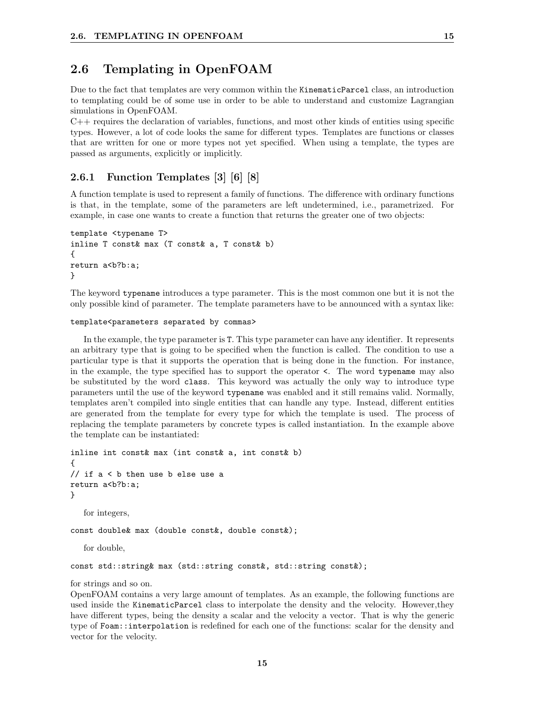### 2.6 Templating in OpenFOAM

Due to the fact that templates are very common within the KinematicParcel class, an introduction to templating could be of some use in order to be able to understand and customize Lagrangian simulations in OpenFOAM.

 $C++$  requires the declaration of variables, functions, and most other kinds of entities using specific types. However, a lot of code looks the same for different types. Templates are functions or classes that are written for one or more types not yet specified. When using a template, the types are passed as arguments, explicitly or implicitly.

#### 2.6.1 Function Templates [3] [6] [8]

A function template is used to represent a family of functions. The difference with ordinary functions is that, in the template, some of the parameters are left undetermined, i.e., parametrized. For example, in case one wants to create a function that returns the greater one of two objects:

```
template <typename T>
inline T const& max (T const& a, T const& b)
{
return a<br/>b?b:a;
}
```
The keyword typename introduces a type parameter. This is the most common one but it is not the only possible kind of parameter. The template parameters have to be announced with a syntax like:

#### template<parameters separated by commas>

In the example, the type parameter is T. This type parameter can have any identifier. It represents an arbitrary type that is going to be specified when the function is called. The condition to use a particular type is that it supports the operation that is being done in the function. For instance, in the example, the type specified has to support the operator <. The word typename may also be substituted by the word class. This keyword was actually the only way to introduce type parameters until the use of the keyword typename was enabled and it still remains valid. Normally, templates aren't compiled into single entities that can handle any type. Instead, different entities are generated from the template for every type for which the template is used. The process of replacing the template parameters by concrete types is called instantiation. In the example above the template can be instantiated:

```
inline int const& max (int const& a, int const& b)
{
// if a < b then use b else use a
return a<br/>b?b:a;
}
   for integers,
const double& max (double const&, double const&);
   for double,
const std::string& max (std::string const&, std::string const&);
```
#### for strings and so on.

OpenFOAM contains a very large amount of templates. As an example, the following functions are used inside the KinematicParcel class to interpolate the density and the velocity. However,they have different types, being the density a scalar and the velocity a vector. That is why the generic type of Foam::interpolation is redefined for each one of the functions: scalar for the density and vector for the velocity.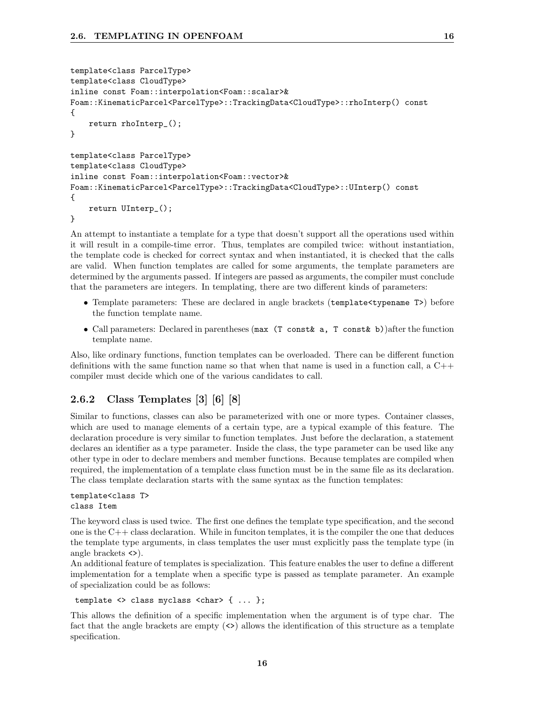```
template<class ParcelType>
template<class CloudType>
inline const Foam::interpolation<Foam::scalar>&
Foam::KinematicParcel<ParcelType>::TrackingData<CloudType>::rhoInterp() const
{
    return rhoInterp_();
}
template<class ParcelType>
template<class CloudType>
inline const Foam::interpolation<Foam::vector>&
Foam::KinematicParcel<ParcelType>::TrackingData<CloudType>::UInterp() const
{
    return UInterp_();
}
```
An attempt to instantiate a template for a type that doesn't support all the operations used within it will result in a compile-time error. Thus, templates are compiled twice: without instantiation, the template code is checked for correct syntax and when instantiated, it is checked that the calls are valid. When function templates are called for some arguments, the template parameters are determined by the arguments passed. If integers are passed as arguments, the compiler must conclude that the parameters are integers. In templating, there are two different kinds of parameters:

- Template parameters: These are declared in angle brackets (template  $\langle \text{typename T}\rangle$ ) before the function template name.
- Call parameters: Declared in parentheses (max (T const a, T const b)) after the function template name.

Also, like ordinary functions, function templates can be overloaded. There can be different function definitions with the same function name so that when that name is used in a function call, a  $C++$ compiler must decide which one of the various candidates to call.

### 2.6.2 Class Templates [3] [6] [8]

Similar to functions, classes can also be parameterized with one or more types. Container classes, which are used to manage elements of a certain type, are a typical example of this feature. The declaration procedure is very similar to function templates. Just before the declaration, a statement declares an identifier as a type parameter. Inside the class, the type parameter can be used like any other type in oder to declare members and member functions. Because templates are compiled when required, the implementation of a template class function must be in the same file as its declaration. The class template declaration starts with the same syntax as the function templates:

template<class T> class Item

The keyword class is used twice. The first one defines the template type specification, and the second one is the  $C++$  class declaration. While in funciton templates, it is the compiler the one that deduces the template type arguments, in class templates the user must explicitly pass the template type (in angle brackets <>).

An additional feature of templates is specialization. This feature enables the user to define a different implementation for a template when a specific type is passed as template parameter. An example of specialization could be as follows:

template <> class myclass <char> { ... };

This allows the definition of a specific implementation when the argument is of type char. The fact that the angle brackets are empty (<>) allows the identification of this structure as a template specification.

16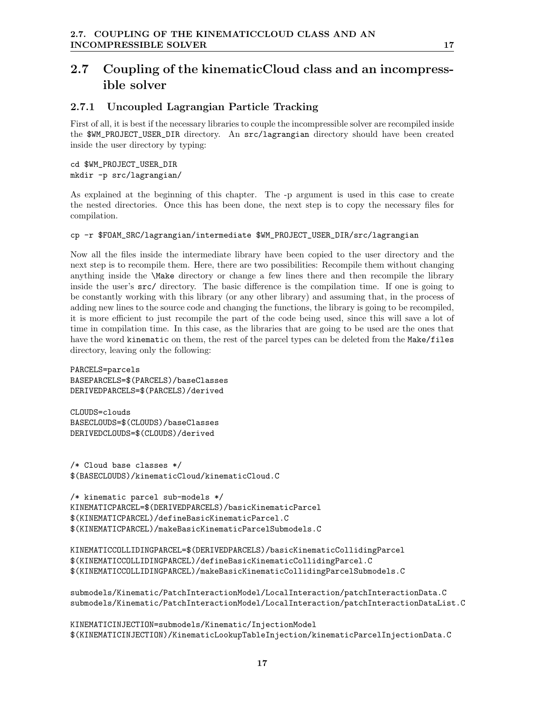## 2.7 Coupling of the kinematicCloud class and an incompressible solver

### 2.7.1 Uncoupled Lagrangian Particle Tracking

First of all, it is best if the necessary libraries to couple the incompressible solver are recompiled inside the \$WM\_PROJECT\_USER\_DIR directory. An src/lagrangian directory should have been created inside the user directory by typing:

```
cd $WM_PROJECT_USER_DIR
mkdir -p src/lagrangian/
```
As explained at the beginning of this chapter. The -p argument is used in this case to create the nested directories. Once this has been done, the next step is to copy the necessary files for compilation.

#### cp -r \$FOAM\_SRC/lagrangian/intermediate \$WM\_PROJECT\_USER\_DIR/src/lagrangian

Now all the files inside the intermediate library have been copied to the user directory and the next step is to recompile them. Here, there are two possibilities: Recompile them without changing anything inside the \Make directory or change a few lines there and then recompile the library inside the user's src/ directory. The basic difference is the compilation time. If one is going to be constantly working with this library (or any other library) and assuming that, in the process of adding new lines to the source code and changing the functions, the library is going to be recompiled, it is more efficient to just recompile the part of the code being used, since this will save a lot of time in compilation time. In this case, as the libraries that are going to be used are the ones that have the word kinematic on them, the rest of the parcel types can be deleted from the Make/files directory, leaving only the following:

PARCELS=parcels BASEPARCELS=\$(PARCELS)/baseClasses DERIVEDPARCELS=\$(PARCELS)/derived

CLOUDS=clouds BASECLOUDS=\$(CLOUDS)/baseClasses DERIVEDCLOUDS=\$(CLOUDS)/derived

/\* Cloud base classes \*/ \$(BASECLOUDS)/kinematicCloud/kinematicCloud.C

```
/* kinematic parcel sub-models */
KINEMATICPARCEL=$(DERIVEDPARCELS)/basicKinematicParcel
$(KINEMATICPARCEL)/defineBasicKinematicParcel.C
$(KINEMATICPARCEL)/makeBasicKinematicParcelSubmodels.C
```

```
KINEMATICCOLLIDINGPARCEL=$(DERIVEDPARCELS)/basicKinematicCollidingParcel
$(KINEMATICCOLLIDINGPARCEL)/defineBasicKinematicCollidingParcel.C
$(KINEMATICCOLLIDINGPARCEL)/makeBasicKinematicCollidingParcelSubmodels.C
```
submodels/Kinematic/PatchInteractionModel/LocalInteraction/patchInteractionData.C submodels/Kinematic/PatchInteractionModel/LocalInteraction/patchInteractionDataList.C

KINEMATICINJECTION=submodels/Kinematic/InjectionModel \$(KINEMATICINJECTION)/KinematicLookupTableInjection/kinematicParcelInjectionData.C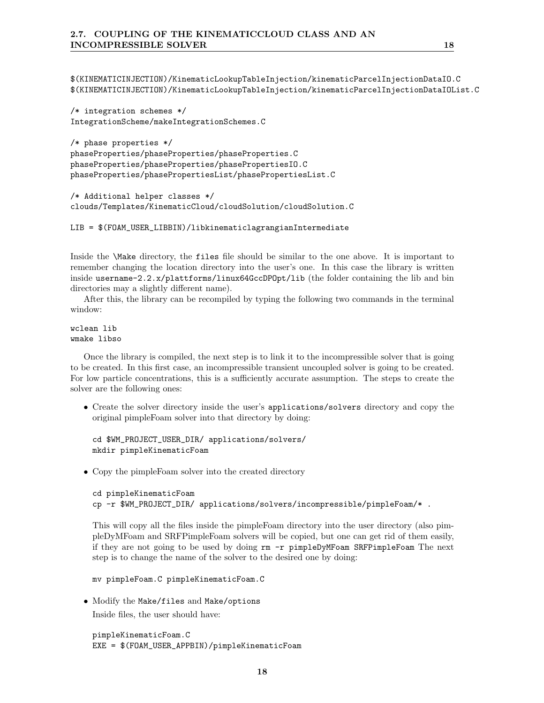\$(KINEMATICINJECTION)/KinematicLookupTableInjection/kinematicParcelInjectionDataIO.C \$(KINEMATICINJECTION)/KinematicLookupTableInjection/kinematicParcelInjectionDataIOList.C

```
/* integration schemes */
IntegrationScheme/makeIntegrationSchemes.C
```

```
/* phase properties */
phaseProperties/phaseProperties/phaseProperties.C
phaseProperties/phaseProperties/phasePropertiesIO.C
phaseProperties/phasePropertiesList/phasePropertiesList.C
```

```
/* Additional helper classes */
clouds/Templates/KinematicCloud/cloudSolution/cloudSolution.C
```

```
LIB = $(FOAM_USER_LIBBIN)/libkinematiclagrangianIntermediate
```
Inside the \Make directory, the files file should be similar to the one above. It is important to remember changing the location directory into the user's one. In this case the library is written inside username-2.2.x/plattforms/linux64GccDPOpt/lib (the folder containing the lib and bin directories may a slightly different name).

After this, the library can be recompiled by typing the following two commands in the terminal window:

wclean lib wmake libso

Once the library is compiled, the next step is to link it to the incompressible solver that is going to be created. In this first case, an incompressible transient uncoupled solver is going to be created. For low particle concentrations, this is a sufficiently accurate assumption. The steps to create the solver are the following ones:

• Create the solver directory inside the user's applications/solvers directory and copy the original pimpleFoam solver into that directory by doing:

```
cd $WM_PROJECT_USER_DIR/ applications/solvers/
mkdir pimpleKinematicFoam
```
• Copy the pimpleFoam solver into the created directory

```
cd pimpleKinematicFoam
cp -r $WM_PROJECT_DIR/ applications/solvers/incompressible/pimpleFoam/* .
```
This will copy all the files inside the pimpleFoam directory into the user directory (also pimpleDyMFoam and SRFPimpleFoam solvers will be copied, but one can get rid of them easily, if they are not going to be used by doing rm -r pimpleDyMFoam SRFPimpleFoam The next step is to change the name of the solver to the desired one by doing:

mv pimpleFoam.C pimpleKinematicFoam.C

• Modify the Make/files and Make/options Inside files, the user should have:

```
pimpleKinematicFoam.C
EXE = $(FOAM_USER_APPBIN)/pimpleKinematicFoam
```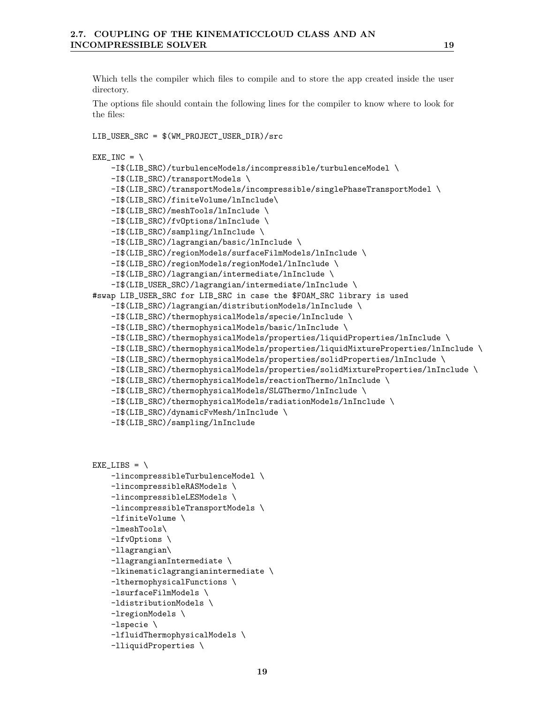Which tells the compiler which files to compile and to store the app created inside the user directory.

The options file should contain the following lines for the compiler to know where to look for the files:

```
LIB_USER_SRC = $(WM_PROJECT_USER_DIR)/src
EXE_INC = \setminus-I$(LIB_SRC)/turbulenceModels/incompressible/turbulenceModel \
    -I$(LIB_SRC)/transportModels \
    -I$(LIB_SRC)/transportModels/incompressible/singlePhaseTransportModel \
    -I$(LIB_SRC)/finiteVolume/lnInclude\
    -I$(LIB_SRC)/meshTools/lnInclude \
    -I$(LIB_SRC)/fvOptions/lnInclude \
    -I$(LIB_SRC)/sampling/lnInclude \
    -I$(LIB_SRC)/lagrangian/basic/lnInclude \
    -I$(LIB_SRC)/regionModels/surfaceFilmModels/lnInclude \
    -I$(LIB_SRC)/regionModels/regionModel/lnInclude \
    -I$(LIB_SRC)/lagrangian/intermediate/lnInclude \
    -I$(LIB_USER_SRC)/lagrangian/intermediate/lnInclude \
#swap LIB_USER_SRC for LIB_SRC in case the $FOAM_SRC library is used
    -I$(LIB_SRC)/lagrangian/distributionModels/lnInclude \
    -I$(LIB_SRC)/thermophysicalModels/specie/lnInclude \
    -I$(LIB_SRC)/thermophysicalModels/basic/lnInclude \
    -I$(LIB_SRC)/thermophysicalModels/properties/liquidProperties/lnInclude \
    -I$(LIB_SRC)/thermophysicalModels/properties/liquidMixtureProperties/lnInclude \
    -I$(LIB_SRC)/thermophysicalModels/properties/solidProperties/lnInclude \
    -I$(LIB_SRC)/thermophysicalModels/properties/solidMixtureProperties/lnInclude \
    -I$(LIB_SRC)/thermophysicalModels/reactionThermo/lnInclude \
    -I$(LIB_SRC)/thermophysicalModels/SLGThermo/lnInclude \
    -I$(LIB_SRC)/thermophysicalModels/radiationModels/lnInclude \
    -I$(LIB_SRC)/dynamicFvMesh/lnInclude \
    -I$(LIB_SRC)/sampling/lnInclude
```

```
EXE_LIBS = \ \-lincompressibleTurbulenceModel \
    -lincompressibleRASModels \
    -lincompressibleLESModels \
    -lincompressibleTransportModels \
    -lfiniteVolume \
    -lmeshTools\
    -lfvOptions \
    -llagrangian\
    -llagrangianIntermediate \
    -lkinematiclagrangianintermediate \
    -lthermophysicalFunctions \
    -lsurfaceFilmModels \
    -ldistributionModels \
    -lregionModels \
    -lspecie \
```

```
-lfluidThermophysicalModels \
```

```
-lliquidProperties \
```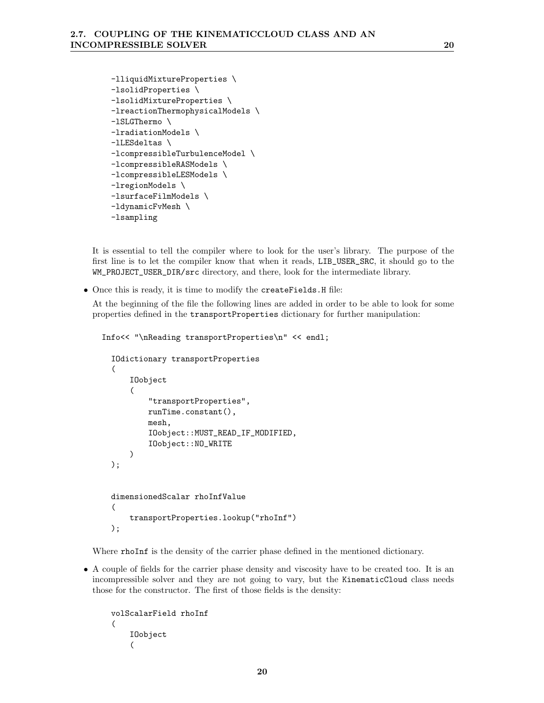```
-lliquidMixtureProperties \
-lsolidProperties \
-lsolidMixtureProperties \
-lreactionThermophysicalModels \
-lSLGThermo \
-lradiationModels \
-lLESdeltas \
-lcompressibleTurbulenceModel \
-lcompressibleRASModels \
-lcompressibleLESModels \
-lregionModels \
-lsurfaceFilmModels \
-ldynamicFvMesh \
-lsampling
```
It is essential to tell the compiler where to look for the user's library. The purpose of the first line is to let the compiler know that when it reads, LIB\_USER\_SRC, it should go to the WM\_PROJECT\_USER\_DIR/src directory, and there, look for the intermediate library.

• Once this is ready, it is time to modify the createFields.H file:

At the beginning of the file the following lines are added in order to be able to look for some properties defined in the transportProperties dictionary for further manipulation:

Info<< "\nReading transportProperties\n" << endl;

```
IOdictionary transportProperties
(
    IOobject
    (
        "transportProperties",
        runTime.constant(),
        mesh,
        IOobject::MUST_READ_IF_MODIFIED,
        IOobject::NO_WRITE
    )
);
dimensionedScalar rhoInfValue
(
    transportProperties.lookup("rhoInf")
);
```
Where rhoInf is the density of the carrier phase defined in the mentioned dictionary.

• A couple of fields for the carrier phase density and viscosity have to be created too. It is an incompressible solver and they are not going to vary, but the KinematicCloud class needs those for the constructor. The first of those fields is the density:

```
volScalarField rhoInf
(
    IOobject
    (
```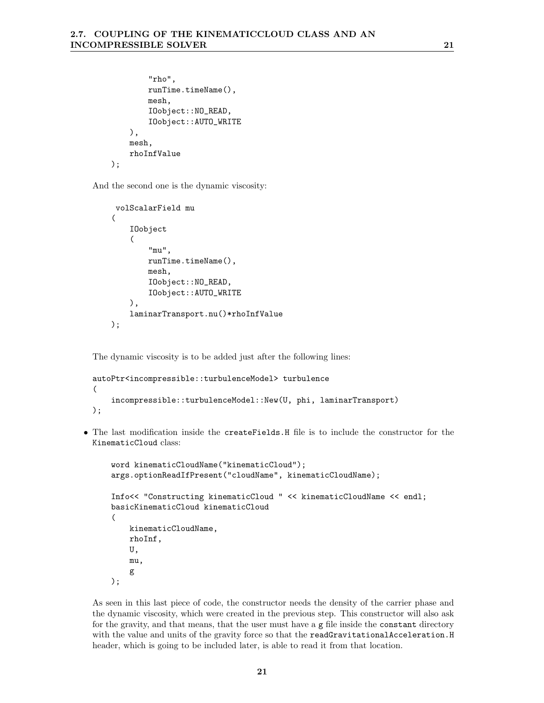```
"rho",
        runTime.timeName(),
        mesh,
        IOobject::NO_READ,
        IOobject::AUTO_WRITE
    ),
    mesh,
    rhoInfValue
);
```
And the second one is the dynamic viscosity:

```
volScalarField mu
(
    IOobject
    (
        "mu",
        runTime.timeName(),
        mesh,
        IOobject::NO_READ,
        IOobject::AUTO_WRITE
    ),
    laminarTransport.nu()*rhoInfValue
);
```
The dynamic viscosity is to be added just after the following lines:

```
autoPtr<incompressible::turbulenceModel> turbulence
(
    incompressible::turbulenceModel::New(U, phi, laminarTransport)
);
```
• The last modification inside the createFields.H file is to include the constructor for the KinematicCloud class:

```
word kinematicCloudName("kinematicCloud");
args.optionReadIfPresent("cloudName", kinematicCloudName);
Info<< "Constructing kinematicCloud " << kinematicCloudName << endl;
basicKinematicCloud kinematicCloud
(
   kinematicCloudName,
   rhoInf,
    U,
    mu,
    g
);
```
As seen in this last piece of code, the constructor needs the density of the carrier phase and the dynamic viscosity, which were created in the previous step. This constructor will also ask for the gravity, and that means, that the user must have a g file inside the constant directory with the value and units of the gravity force so that the readGravitationalAcceleration.H header, which is going to be included later, is able to read it from that location.

21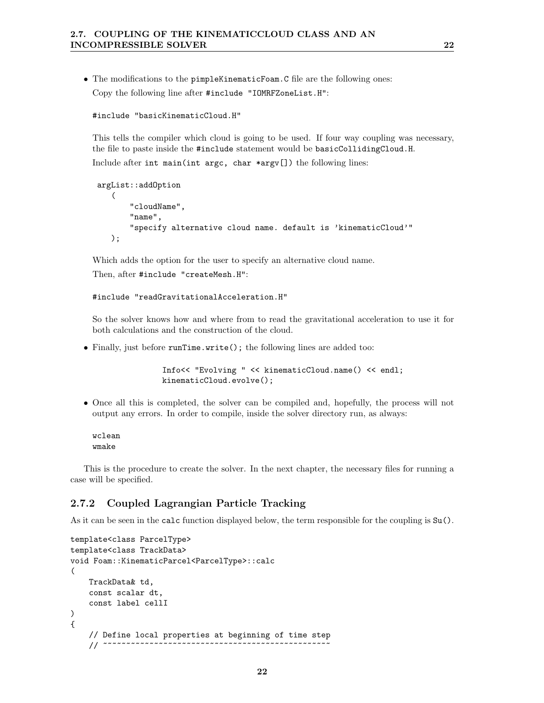• The modifications to the pimpleKinematicFoam. C file are the following ones: Copy the following line after #include "IOMRFZoneList.H":

```
#include "basicKinematicCloud.H"
```
This tells the compiler which cloud is going to be used. If four way coupling was necessary, the file to paste inside the #include statement would be basicCollidingCloud.H.

Include after int main(int argc, char \*argv[]) the following lines:

```
argList::addOption
   (
       "cloudName",
       "name",
       "specify alternative cloud name. default is 'kinematicCloud'"
   );
```
Which adds the option for the user to specify an alternative cloud name.

Then, after #include "createMesh.H":

```
#include "readGravitationalAcceleration.H"
```
So the solver knows how and where from to read the gravitational acceleration to use it for both calculations and the construction of the cloud.

• Finally, just before runTime.write(); the following lines are added too:

```
Info<< "Evolving " << kinematicCloud.name() << endl;
kinematicCloud.evolve();
```
• Once all this is completed, the solver can be compiled and, hopefully, the process will not output any errors. In order to compile, inside the solver directory run, as always:

wclean wmake

This is the procedure to create the solver. In the next chapter, the necessary files for running a case will be specified.

#### 2.7.2 Coupled Lagrangian Particle Tracking

As it can be seen in the calc function displayed below, the term responsible for the coupling is Su().

```
template<class ParcelType>
template<class TrackData>
void Foam::KinematicParcel<ParcelType>::calc
(
    TrackData& td,
    const scalar dt,
    const label cellI
)
{
    // Define local properties at beginning of time step
    11 \sim \sim \sim \sim \sim
```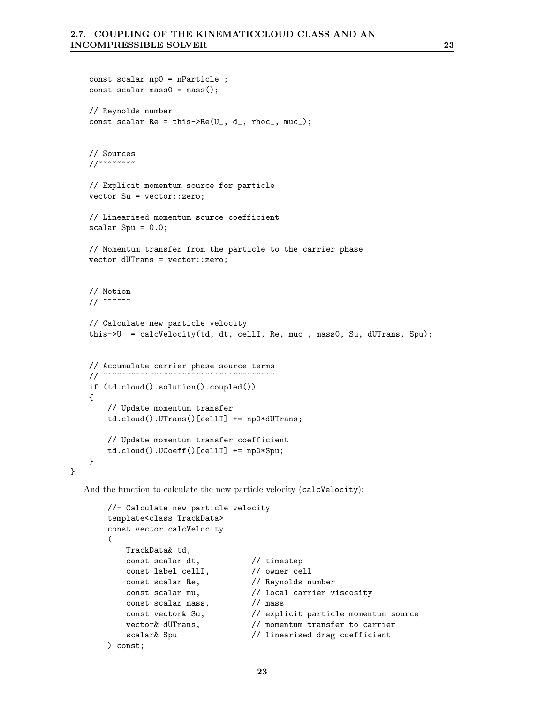```
const scalar np0 = nParticle_;
const scalar mass0 = \text{mass}();
// Reynolds number
const scalar Re = this->Re(U_, d_, rhoc_, muc_);
// Sources
//~~~~~~~~
// Explicit momentum source for particle
vector Su = vector::zero;
// Linearised momentum source coefficient
scalar Spu = 0.0;
// Momentum transfer from the particle to the carrier phase
vector dUTrans = vector::zero;
// Motion
// ~~~~~~
// Calculate new particle velocity
this->U_ = calcVelocity(td, dt, cellI, Re, muc_, mass0, Su, dUTrans, Spu);
// Accumulate carrier phase source terms
// ~~~~~~~~~~~~~~~~~~~~~~~~~~~~~~
if (td.cloud().solution().coupled())
{
    // Update momentum transfer
    td.cloud().UTrans()[cellI] += np0*dUTrans;
    // Update momentum transfer coefficient
    td.cloud().UCoeff()[cellI] += np0*Spu;
}
```
And the function to calculate the new particle velocity (calcVelocity):

}

```
//- Calculate new particle velocity
template<class TrackData>
const vector calcVelocity
\left(TrackData& td,
   const scalar dt, \frac{1}{1} // timestep
   const label cellI,
    const scalar Re, // Reynolds number
    const scalar mu, // local carrier viscosity
   const scalar mass,<br>const vector& Su,
    const vector& Su, // explicit particle momentum source
    vector& dUTrans, // momentum transfer to carrier
   scalar& Spu \frac{1}{1} linearised drag coefficient
) const;
```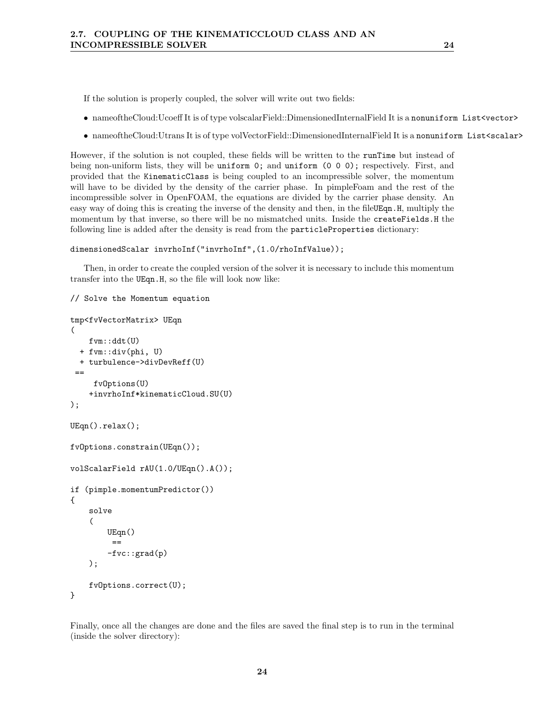If the solution is properly coupled, the solver will write out two fields:

- nameoftheCloud:Ucoeff It is of type volscalarField::DimensionedInternalField It is a nonuniform List<vector>
- nameoftheCloud:Utrans It is of type volVectorField::DimensionedInternalField It is a nonuniform List<scalar>

However, if the solution is not coupled, these fields will be written to the runTime but instead of being non-uniform lists, they will be uniform 0; and uniform (0 0 0); respectively. First, and provided that the KinematicClass is being coupled to an incompressible solver, the momentum will have to be divided by the density of the carrier phase. In pimpleFoam and the rest of the incompressible solver in OpenFOAM, the equations are divided by the carrier phase density. An easy way of doing this is creating the inverse of the density and then, in the file UEqn. H, multiply the momentum by that inverse, so there will be no mismatched units. Inside the createFields.H the following line is added after the density is read from the particleProperties dictionary:

#### dimensionedScalar invrhoInf("invrhoInf",(1.0/rhoInfValue));

Then, in order to create the coupled version of the solver it is necessary to include this momentum transfer into the UEqn.H, so the file will look now like:

```
// Solve the Momentum equation
tmp<fvVectorMatrix> UEqn
(
    fvm::ddt(U)
  + fvm::div(phi, U)
  + turbulence->divDevReff(U)
 ==
     fvOptions(U)
    +invrhoInf*kinematicCloud.SU(U)
);
UEqn().relax();
fvOptions.constrain(UEqn());
volScalarField rAU(1.0/UEqn().A());
if (pimple.momentumPredictor())
{
    solve
    (
        UEqn()
         =-fvc::grad(p));
    fvOptions.correct(U);
}
```
Finally, once all the changes are done and the files are saved the final step is to run in the terminal (inside the solver directory):

24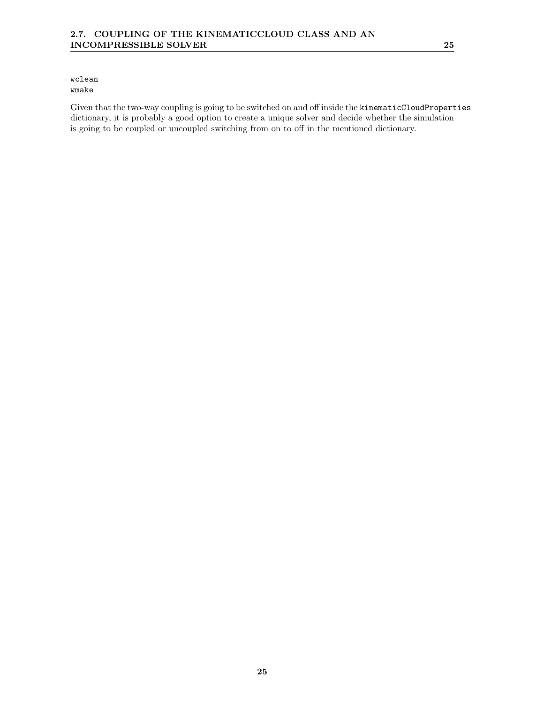#### wclean wmake

Given that the two-way coupling is going to be switched on and off inside the kinematicCloudProperties dictionary, it is probably a good option to create a unique solver and decide whether the simulation is going to be coupled or uncoupled switching from on to off in the mentioned dictionary.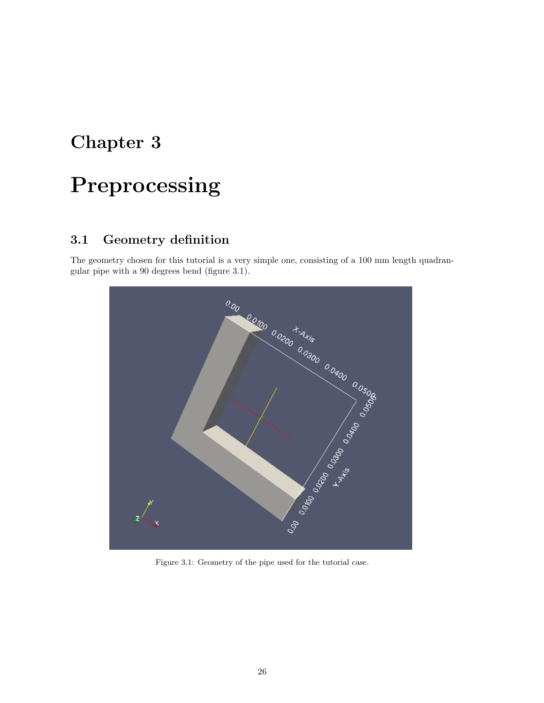## Chapter 3

# Preprocessing

## 3.1 Geometry definition

The geometry chosen for this tutorial is a very simple one, consisting of a 100 mm length quadran-



Figure 3.1: Geometry of the pipe used for the tutorial case.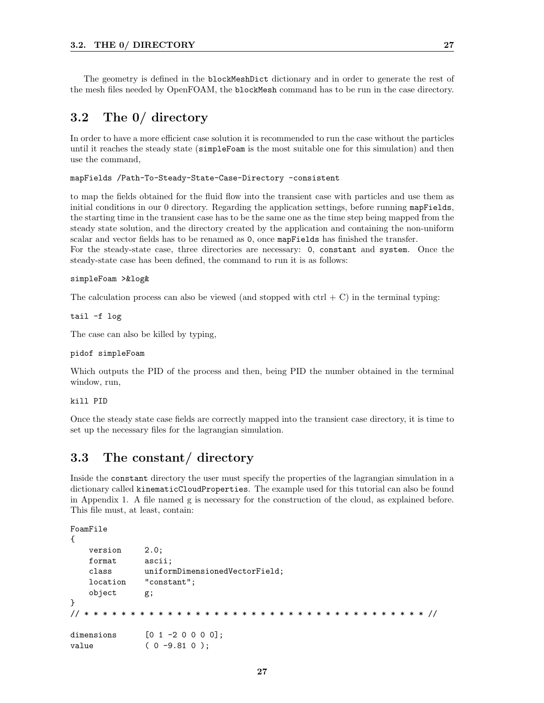The geometry is defined in the blockMeshDict dictionary and in order to generate the rest of the mesh files needed by OpenFOAM, the blockMesh command has to be run in the case directory.

## 3.2 The 0/ directory

In order to have a more efficient case solution it is recommended to run the case without the particles until it reaches the steady state (simpleFoam is the most suitable one for this simulation) and then use the command,

mapFields /Path-To-Steady-State-Case-Directory -consistent

steady-state case has been defined, the command to run it is as follows:

to map the fields obtained for the fluid flow into the transient case with particles and use them as initial conditions in our 0 directory. Regarding the application settings, before running mapFields, the starting time in the transient case has to be the same one as the time step being mapped from the steady state solution, and the directory created by the application and containing the non-uniform scalar and vector fields has to be renamed as 0, once mapFields has finished the transfer. For the steady-state case, three directories are necessary: 0, constant and system. Once the

#### simpleFoam >&log&

The calculation process can also be viewed (and stopped with  $\text{ctrl} + \text{C}$ ) in the terminal typing:

tail -f log

The case can also be killed by typing,

#### pidof simpleFoam

Which outputs the PID of the process and then, being PID the number obtained in the terminal window, run,

#### kill PID

Once the steady state case fields are correctly mapped into the transient case directory, it is time to set up the necessary files for the lagrangian simulation.

### 3.3 The constant/ directory

Inside the constant directory the user must specify the properties of the lagrangian simulation in a dictionary called kinematicCloudProperties. The example used for this tutorial can also be found in Appendix 1. A file named g is necessary for the construction of the cloud, as explained before. This file must, at least, contain:

```
FoamFile
```

```
{
   version 2.0;
   format ascii;
   class uniformDimensionedVectorField;
   location "constant";
   object g;
}
// * * * * * * * * * * * * * * * * * * * * * * * * * * * * * * * * * * * * * //
dimensions [0 1 -2 0 0 0 0];
value (0 -9.81 0);
```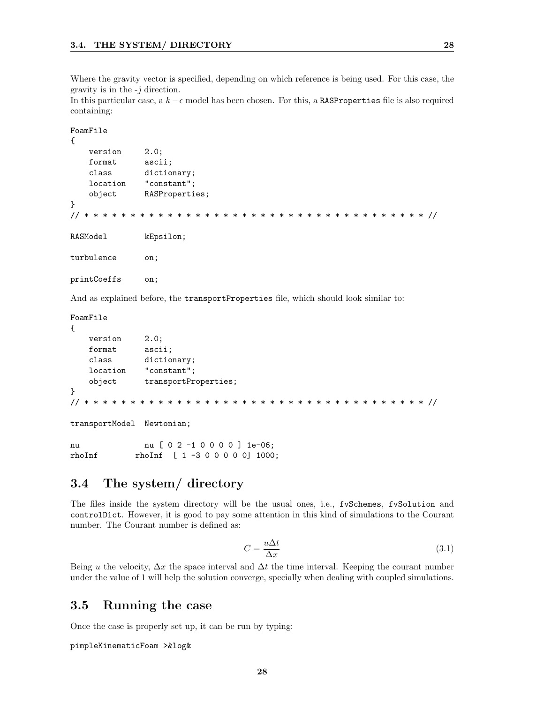Where the gravity vector is specified, depending on which reference is being used. For this case, the gravity is in the  $-\hat{j}$  direction.

In this particular case, a  $k - \epsilon$  model has been chosen. For this, a RASProperties file is also required containing:

```
FoamFile
{
   version 2.0;
   format ascii;
   class dictionary;
   location "constant";
   object RASProperties;
}
// * * * * * * * * * * * * * * * * * * * * * * * * * * * * * * * * * * * * * //
RASModel kEpsilon;
turbulence on;
printCoeffs on;
```
And as explained before, the transportProperties file, which should look similar to:

FoamFile

```
{
   version 2.0;
   format ascii;
   class dictionary;
   location "constant";
   object transportProperties;
}
// * * * * * * * * * * * * * * * * * * * * * * * * * * * * * * * * * * * * * //
```
transportModel Newtonian;

nu nu [ 0 2 -1 0 0 0 0 ] 1e-06; rhoInf rhoInf [ 1 -3 0 0 0 0 0] 1000;

## 3.4 The system/ directory

The files inside the system directory will be the usual ones, i.e., fvSchemes, fvSolution and controlDict. However, it is good to pay some attention in this kind of simulations to the Courant number. The Courant number is defined as:

$$
C = \frac{u\Delta t}{\Delta x} \tag{3.1}
$$

Being u the velocity,  $\Delta x$  the space interval and  $\Delta t$  the time interval. Keeping the courant number under the value of 1 will help the solution converge, specially when dealing with coupled simulations.

## 3.5 Running the case

Once the case is properly set up, it can be run by typing:

pimpleKinematicFoam >&log&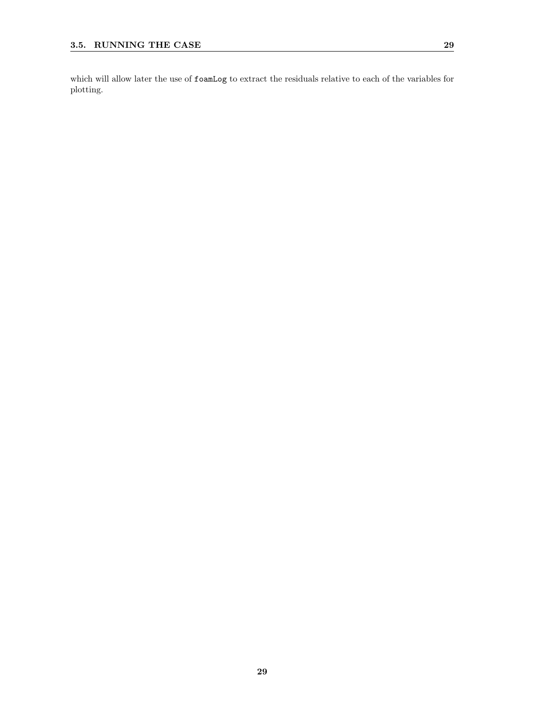which will allow later the use of foamLog to extract the residuals relative to each of the variables for plotting.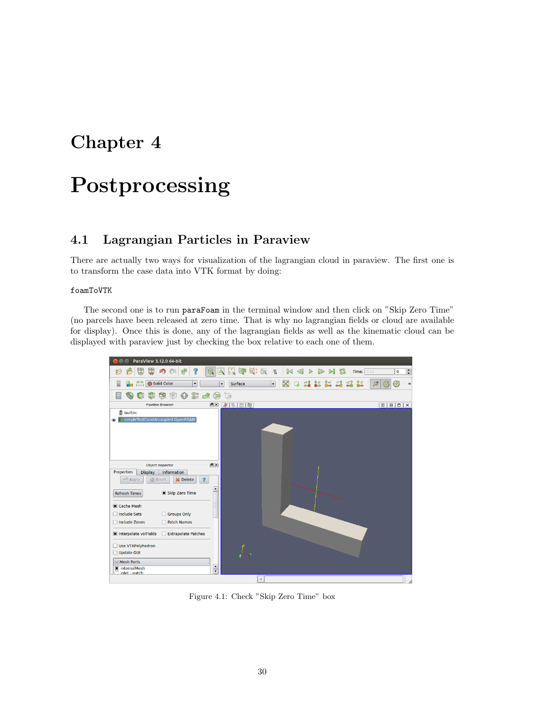## Chapter 4

# Postprocessing

## 4.1 Lagrangian Particles in Paraview

There are actually two ways for visualization of the lagrangian cloud in paraview. The first one is to transform the case data into VTK format by doing:

foamToVTK

The second one is to run paraFoam in the terminal window and then click on "Skip Zero Time" (no parcels have been released at zero time. That is why no lagrangian fields or cloud are available for display). Once this is done, any of the lagrangian fields as well as the kinematic cloud can be displayed with paraview just by checking the box relative to each one of them.



Figure 4.1: Check "Skip Zero Time" box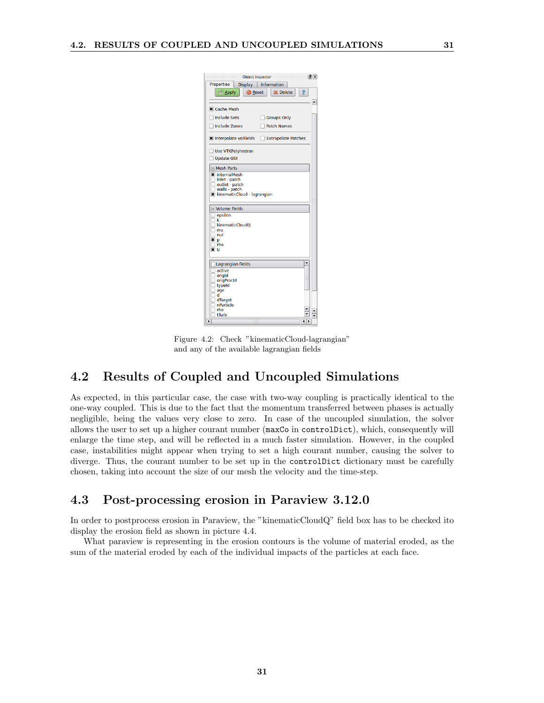| <b>Object Inspector</b>                            |                 | $ D  \times$ |
|----------------------------------------------------|-----------------|--------------|
| <b>Properties</b><br><b>Display</b>                | Information     |              |
| <b>Apply</b><br>Reset                              | <b>X</b> Delete |              |
|                                                    |                 | ▲            |
| <b>X</b> Cache Mesh                                |                 |              |
| <b>Include Sets</b>                                | Groups Only     |              |
| Include Zones                                      | Patch Names     |              |
| <b>X</b> Interpolate volFields Extrapolate Patches |                 |              |
| <b>Use VTKPolyhedron</b>                           |                 |              |
| Update GUI                                         |                 |              |
| <b>Mesh Parts</b>                                  |                 |              |
| <b>*</b> internalMesh                              |                 |              |
| inlet - patch                                      |                 |              |
| outlet - patch<br>walls - patch                    |                 |              |
| <b>X</b> kinematicCloud - lagrangian               |                 |              |
|                                                    |                 |              |
| <b>Nolume Fields</b>                               |                 |              |
| epsilon                                            |                 |              |
| k<br>kinematicCloudO                               |                 |              |
| mu                                                 |                 |              |
| nut                                                |                 |              |
| ×<br>p                                             |                 |              |
| rho                                                |                 |              |
| ×<br>υ                                             |                 |              |
| Lagrangian Fields                                  |                 | ۸            |
| $\sqcap$ active                                    |                 |              |
| origid                                             |                 |              |
| origProcId                                         |                 |              |
| typeld                                             |                 |              |
| age<br>d                                           |                 |              |
| dTarget                                            |                 |              |
| nParticle                                          |                 |              |
| rho                                                |                 |              |
| tTurb                                              |                 |              |
| $\overline{\bullet}$                               |                 | ◂            |

Figure 4.2: Check "kinematicCloud-lagrangian" and any of the available lagrangian fields

## 4.2 Results of Coupled and Uncoupled Simulations

As expected, in this particular case, the case with two-way coupling is practically identical to the one-way coupled. This is due to the fact that the momentum transferred between phases is actually negligible, being the values very close to zero. In case of the uncoupled simulation, the solver allows the user to set up a higher courant number (maxCo in controlDict), which, consequently will enlarge the time step, and will be reflected in a much faster simulation. However, in the coupled case, instabilities might appear when trying to set a high courant number, causing the solver to diverge. Thus, the courant number to be set up in the controlDict dictionary must be carefully chosen, taking into account the size of our mesh the velocity and the time-step.

## 4.3 Post-processing erosion in Paraview 3.12.0

In order to postprocess erosion in Paraview, the "kinematicCloudQ" field box has to be checked ito display the erosion field as shown in picture 4.4.

What paraview is representing in the erosion contours is the volume of material eroded, as the sum of the material eroded by each of the individual impacts of the particles at each face.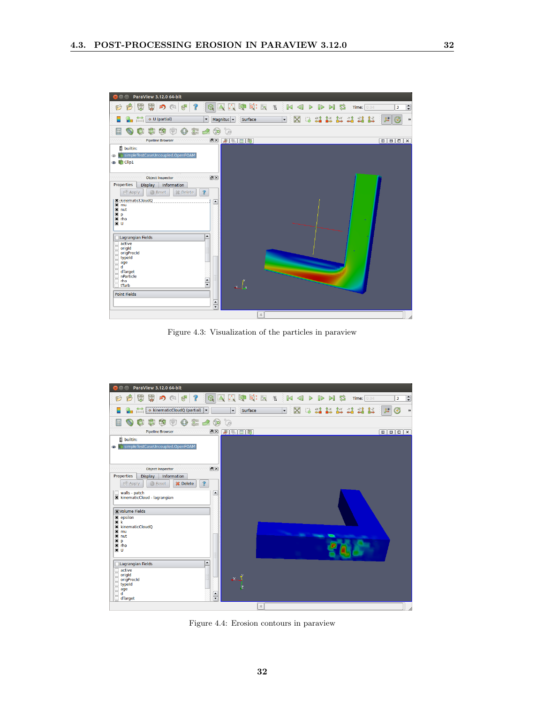

Figure 4.3: Visualization of the particles in paraview



Figure 4.4: Erosion contours in paraview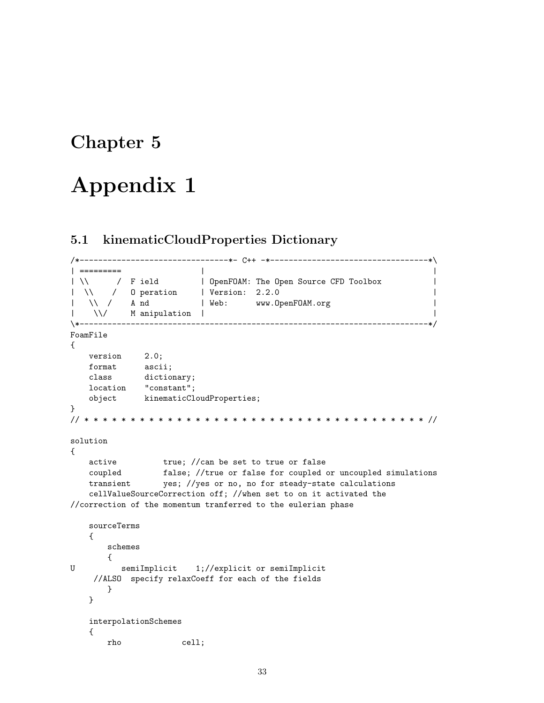## Chapter 5

# Appendix 1

## 5.1 kinematicCloudProperties Dictionary

```
/*--------------------------------*- C++ -*----------------------------------*\
| ========= | |
| \\ / F ield | OpenFOAM: The Open Source CFD Toolbox |
| \\ / O peration | Version: 2.2.0 |
| \\ / A nd | Web: www.OpenFOAM.org |
|\hspace{.8cm} \rangle |\hspace{.8cm} \rangle |\hspace{.8cm} \rangle |\hspace{.8cm} \rangle |\hspace{.8cm} \rangle |\hspace{.8cm} \rangle |\hspace{.8cm} \rangle |\hspace{.8cm} \rangle |\hspace{.8cm} \rangle |\hspace{.8cm} \rangle |\hspace{.8cm} \rangle |\hspace{.8cm} \rangle\*---------------------------------------------------------------------------*/
FoamFile
{
   version 2.0;
    format ascii;
    class dictionary;
   location "constant";
   object kinematicCloudProperties;
}
// * * * * * * * * * * * * * * * * * * * * * * * * * * * * * * * * * * * * * //
solution
{
    active true; //can be set to true or false
    coupled false; //true or false for coupled or uncoupled simulations
    transient yes; //yes or no, no for steady-state calculations
    cellValueSourceCorrection off; //when set to on it activated the
//correction of the momentum tranferred to the eulerian phase
    sourceTerms
    {
       schemes
       {
U semiImplicit 1;//explicit or semiImplicit
    //ALSO specify relaxCoeff for each of the fields
       }
    }
    interpolationSchemes
    {
       rho cell;
```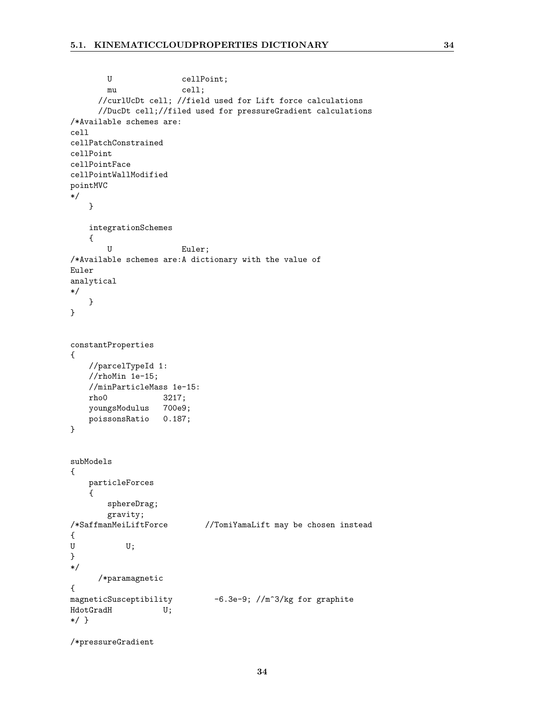```
U cellPoint;
       mu cell;
     //curlUcDt cell; //field used for Lift force calculations
     //DucDt cell;//filed used for pressureGradient calculations
/*Available schemes are:
cell
cellPatchConstrained
cellPoint
cellPointFace
cellPointWallModified
pointMVC
*/
   }
   integrationSchemes
   {
       U Euler;
/*Available schemes are:A dictionary with the value of
Euler
analytical
*/
   }
}
constantProperties
{
   //parcelTypeId 1:
   //rhoMin 1e-15;
   //minParticleMass 1e-15:
   rho0 3217;
   youngsModulus 700e9;
   poissonsRatio 0.187;
}
subModels
{
   particleForces
   {
       sphereDrag;
       gravity;
/*SaffmanMeiLiftForce //TomiYamaLift may be chosen instead
{
U U;
}
*/
     /*paramagnetic
{
magneticSusceptibility -6.3e-9; //m^3/kg for graphite
HdotGradH U;
*/ }
/*pressureGradient
```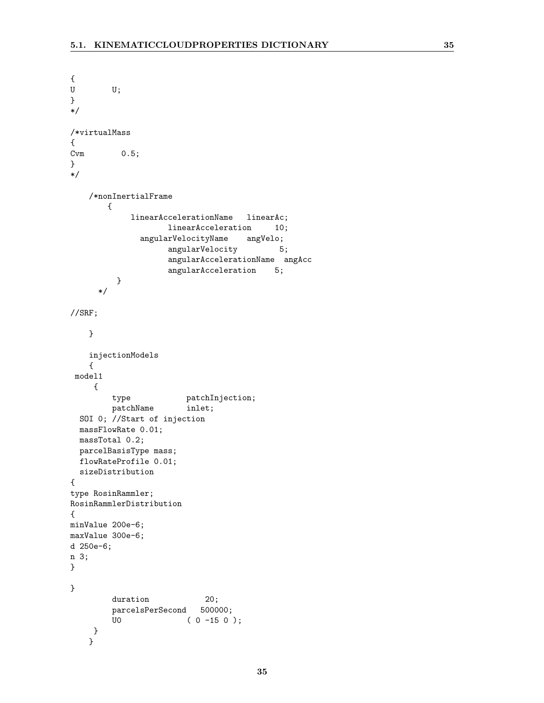```
{
U U;
}
*/
/*virtualMass
{
Cvm 0.5;
}
*/
   /*nonInertialFrame
       {
            linearAccelerationName linearAc;
                   linearAcceleration 10;
             angularVelocityName angVelo;
                   angularVelocity 5;
                   angularAccelerationName angAcc
                   angularAcceleration 5;
         }
     */
//SRF;
   }
   injectionModels
   {
 model1
    {
        type patchInjection;
        patchName inlet;
 SOI 0; //Start of injection
 massFlowRate 0.01;
 massTotal 0.2;
 parcelBasisType mass;
 flowRateProfile 0.01;
 sizeDistribution
{
type RosinRammler;
RosinRammlerDistribution
{
minValue 200e-6;
maxValue 300e-6;
d 250e-6;
n 3;
}
}
        duration 20;
        parcelsPerSecond 500000;
        U0 ( 0 -15 0 );
    }
   }
```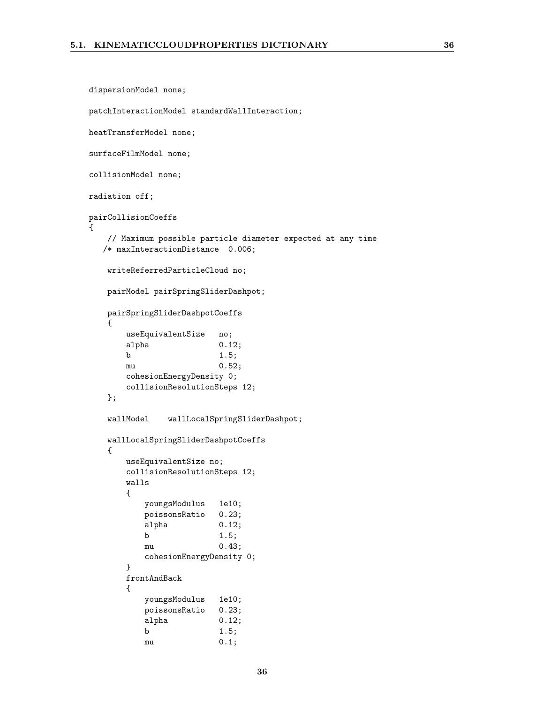{

```
dispersionModel none;
patchInteractionModel standardWallInteraction;
heatTransferModel none;
surfaceFilmModel none;
collisionModel none;
radiation off;
pairCollisionCoeffs
   // Maximum possible particle diameter expected at any time
  /* maxInteractionDistance 0.006;
   writeReferredParticleCloud no;
   pairModel pairSpringSliderDashpot;
   pairSpringSliderDashpotCoeffs
   {
       useEquivalentSize no;
       alpha 0.12;
       b 1.5;
       mu 0.52;
       cohesionEnergyDensity 0;
       collisionResolutionSteps 12;
   };
   wallModel wallLocalSpringSliderDashpot;
   wallLocalSpringSliderDashpotCoeffs
   {
       useEquivalentSize no;
       collisionResolutionSteps 12;
       walls
       {
          youngsModulus 1e10;
          poissonsRatio 0.23;
          alpha 0.12;
          b 1.5;
          mu 0.43;
          cohesionEnergyDensity 0;
       }
       frontAndBack
       {
          youngsModulus 1e10;
          poissonsRatio 0.23;
          alpha 0.12;
```
b 1.5; mu 0.1;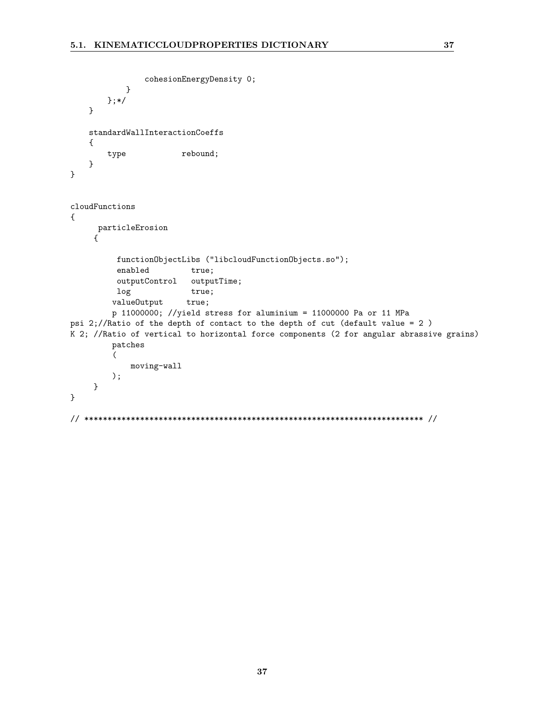```
cohesionEnergyDensity 0;
           }
       };*/
   }
   standardWallInteractionCoeffs
   {
       type rebound;
   }
}
cloudFunctions
{
     particleErosion
    {
         functionObjectLibs ("libcloudFunctionObjects.so");
         enabled true;
         outputControl outputTime;
         log true;
        valueOutput true;
        p 11000000; //yield stress for aluminium = 11000000 Pa or 11 MPa
psi 2;//Ratio of the depth of contact to the depth of cut (default value = 2 )
K 2; //Ratio of vertical to horizontal force components (2 for angular abrassive grains)
        patches
        (
            moving-wall
        );
    }
}
// ************************************************************************* //
```
37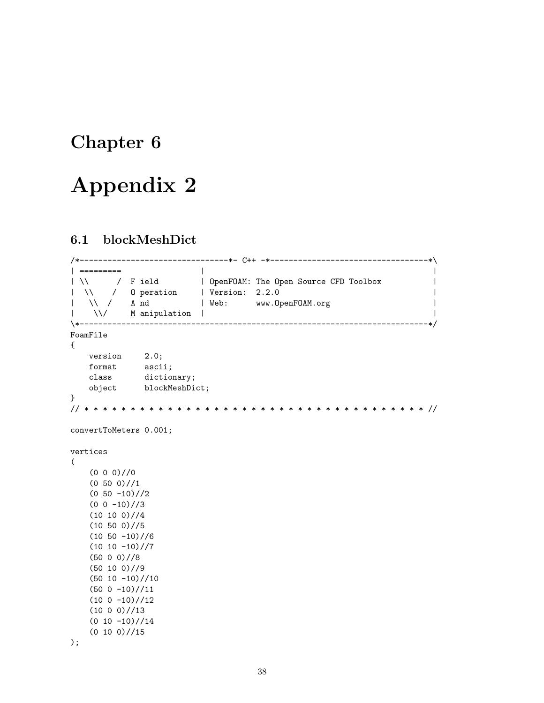## Chapter 6

# Appendix 2

### 6.1 blockMeshDict

```
/*--------------------------------*- C++ -*----------------------------------*\
| ========= | |
| \\ / F ield | OpenFOAM: The Open Source CFD Toolbox |
| \\ / O peration | Version: 2.2.0 |
| \\ / A nd | Web: www.OpenFOAM.org |
| \\/ M anipulation | |
\*---------------------------------------------------------------------------*/
FoamFile
{
   version 2.0;
   format ascii;
   class dictionary;
   object blockMeshDict;
}
// * * * * * * * * * * * * * * * * * * * * * * * * * * * * * * * * * * * * * //
convertToMeters 0.001;
vertices
(
   (0 0 0)//0
   (0 50 0) // 1(0 50 -10)/2(0 0 -10) //3(10 10 0) // 4(10 50 0) // 5(10 50 -10)/6(10 10 -10) //7(50 0 0)//8
   (50 10 0)//9
   (50 10 -10) // 10(50 0 -10) // 11(10 0 -10) // 12(10 0 0)/(13)(0 10 -10)//14
   (0 10 0) // 15);
```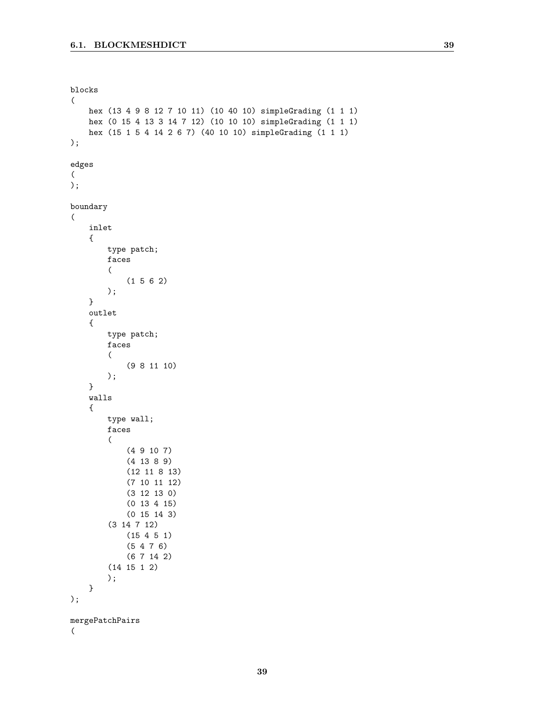```
blocks
\left(hex (13 4 9 8 12 7 10 11) (10 40 10) simpleGrading (1 1 1)
    hex (0 15 4 13 3 14 7 12) (10 10 10) simpleGrading (1 1 1)
    hex (15 1 5 4 14 2 6 7) (40 10 10) simpleGrading (1 1 1)
);
edges
(
);
boundary
(
    inlet
    {
        type patch;
        faces
        (
            (1 5 6 2)
        );
    }
    outlet
    {
        type patch;
        faces
        (
            (9 8 11 10)
        );
    }
    walls
    {
        type wall;
        faces
        (
            (4 9 10 7)
            (4 13 8 9)
            (12 11 8 13)
            (7 10 11 12)
            (3 12 13 0)
            (0 13 4 15)
            (0 15 14 3)
        (3 14 7 12)
            (15 4 5 1)
            (5 4 7 6)
            (6 7 14 2)
        (14 15 1 2)
        );
    }
);
mergePatchPairs
(
```